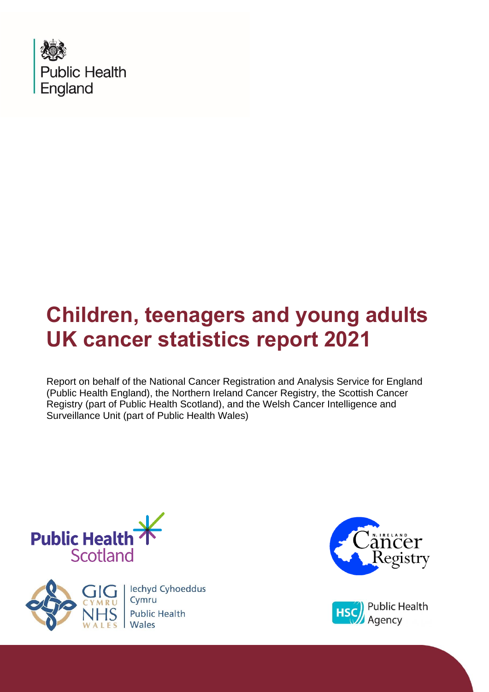

Report on behalf of the National Cancer Registration and Analysis Service for England (Public Health England), the Northern Ireland Cancer Registry, the Scottish Cancer Registry (part of Public Health Scotland), and the Welsh Cancer Intelligence and Surveillance Unit (part of Public Health Wales)







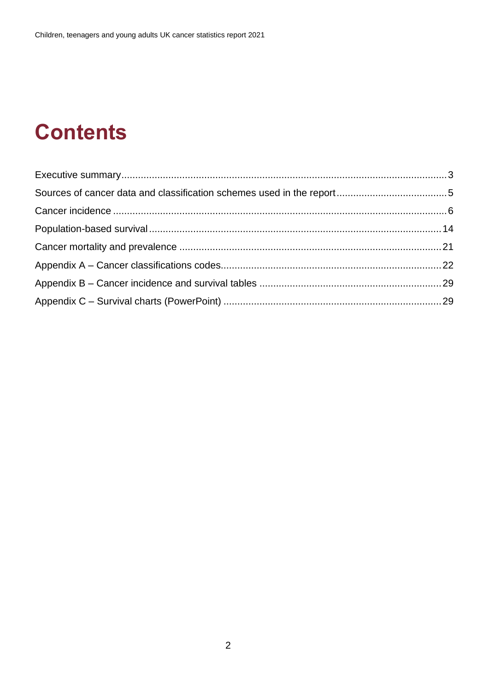# **Contents**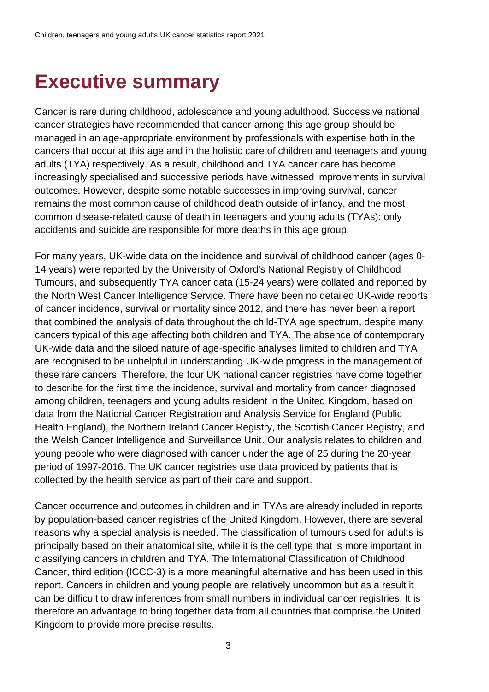### <span id="page-2-0"></span>**Executive summary**

Cancer is rare during childhood, adolescence and young adulthood. Successive national cancer strategies have recommended that cancer among this age group should be managed in an age-appropriate environment by professionals with expertise both in the cancers that occur at this age and in the holistic care of children and teenagers and young adults (TYA) respectively. As a result, childhood and TYA cancer care has become increasingly specialised and successive periods have witnessed improvements in survival outcomes. However, despite some notable successes in improving survival, cancer remains the most common cause of childhood death outside of infancy, and the most common disease-related cause of death in teenagers and young adults (TYAs): only accidents and suicide are responsible for more deaths in this age group.

For many years, UK-wide data on the incidence and survival of childhood cancer (ages 0- 14 years) were reported by the University of Oxford's National Registry of Childhood Tumours, and subsequently TYA cancer data (15-24 years) were collated and reported by the North West Cancer Intelligence Service. There have been no detailed UK-wide reports of cancer incidence, survival or mortality since 2012, and there has never been a report that combined the analysis of data throughout the child-TYA age spectrum, despite many cancers typical of this age affecting both children and TYA. The absence of contemporary UK-wide data and the siloed nature of age-specific analyses limited to children and TYA are recognised to be unhelpful in understanding UK-wide progress in the management of these rare cancers. Therefore, the four UK national cancer registries have come together to describe for the first time the incidence, survival and mortality from cancer diagnosed among children, teenagers and young adults resident in the United Kingdom, based on data from the National Cancer Registration and Analysis Service for England (Public Health England), the Northern Ireland Cancer Registry, the Scottish Cancer Registry, and the Welsh Cancer Intelligence and Surveillance Unit. Our analysis relates to children and young people who were diagnosed with cancer under the age of 25 during the 20-year period of 1997-2016. The UK cancer registries use data provided by patients that is collected by the health service as part of their care and support.

Cancer occurrence and outcomes in children and in TYAs are already included in reports by population-based cancer registries of the United Kingdom. However, there are several reasons why a special analysis is needed. The classification of tumours used for adults is principally based on their anatomical site, while it is the cell type that is more important in classifying cancers in children and TYA. The International Classification of Childhood Cancer, third edition (ICCC-3) is a more meaningful alternative and has been used in this report. Cancers in children and young people are relatively uncommon but as a result it can be difficult to draw inferences from small numbers in individual cancer registries. It is therefore an advantage to bring together data from all countries that comprise the United Kingdom to provide more precise results.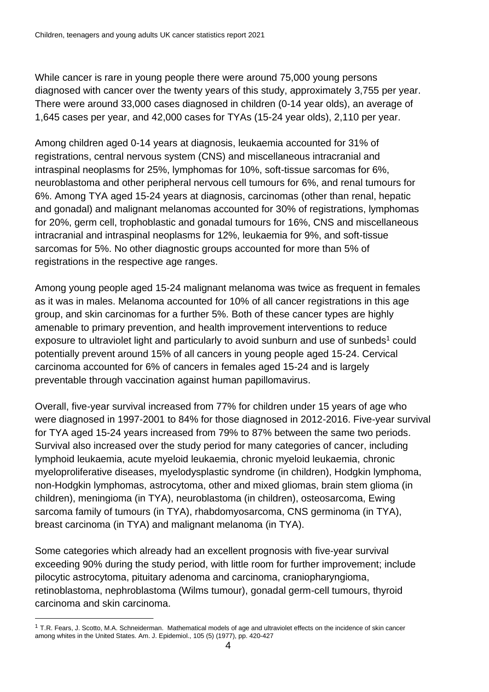While cancer is rare in young people there were around 75,000 young persons diagnosed with cancer over the twenty years of this study, approximately 3,755 per year. There were around 33,000 cases diagnosed in children (0-14 year olds), an average of 1,645 cases per year, and 42,000 cases for TYAs (15-24 year olds), 2,110 per year.

Among children aged 0-14 years at diagnosis, leukaemia accounted for 31% of registrations, central nervous system (CNS) and miscellaneous intracranial and intraspinal neoplasms for 25%, lymphomas for 10%, soft-tissue sarcomas for 6%, neuroblastoma and other peripheral nervous cell tumours for 6%, and renal tumours for 6%. Among TYA aged 15-24 years at diagnosis, carcinomas (other than renal, hepatic and gonadal) and malignant melanomas accounted for 30% of registrations, lymphomas for 20%, germ cell, trophoblastic and gonadal tumours for 16%, CNS and miscellaneous intracranial and intraspinal neoplasms for 12%, leukaemia for 9%, and soft-tissue sarcomas for 5%. No other diagnostic groups accounted for more than 5% of registrations in the respective age ranges.

Among young people aged 15-24 malignant melanoma was twice as frequent in females as it was in males. Melanoma accounted for 10% of all cancer registrations in this age group, and skin carcinomas for a further 5%. Both of these cancer types are highly amenable to primary prevention, and health improvement interventions to reduce exposure to ultraviolet light and particularly to avoid sunburn and use of sunbeds<sup>1</sup> could potentially prevent around 15% of all cancers in young people aged 15-24. Cervical carcinoma accounted for 6% of cancers in females aged 15-24 and is largely preventable through vaccination against human papillomavirus.

Overall, five-year survival increased from 77% for children under 15 years of age who were diagnosed in 1997-2001 to 84% for those diagnosed in 2012-2016. Five-year survival for TYA aged 15-24 years increased from 79% to 87% between the same two periods. Survival also increased over the study period for many categories of cancer, including lymphoid leukaemia, acute myeloid leukaemia, chronic myeloid leukaemia, chronic myeloproliferative diseases, myelodysplastic syndrome (in children), Hodgkin lymphoma, non-Hodgkin lymphomas, astrocytoma, other and mixed gliomas, brain stem glioma (in children), meningioma (in TYA), neuroblastoma (in children), osteosarcoma, Ewing sarcoma family of tumours (in TYA), rhabdomyosarcoma, CNS germinoma (in TYA), breast carcinoma (in TYA) and malignant melanoma (in TYA).

Some categories which already had an excellent prognosis with five-year survival exceeding 90% during the study period, with little room for further improvement; include pilocytic astrocytoma, pituitary adenoma and carcinoma, craniopharyngioma, retinoblastoma, nephroblastoma (Wilms tumour), gonadal germ-cell tumours, thyroid carcinoma and skin carcinoma.

 $1$  T.R. Fears, J. Scotto, M.A. Schneiderman. Mathematical models of age and ultraviolet effects on the incidence of skin cancer among whites in the United States. Am. J. Epidemiol., 105 (5) (1977), pp. 420-427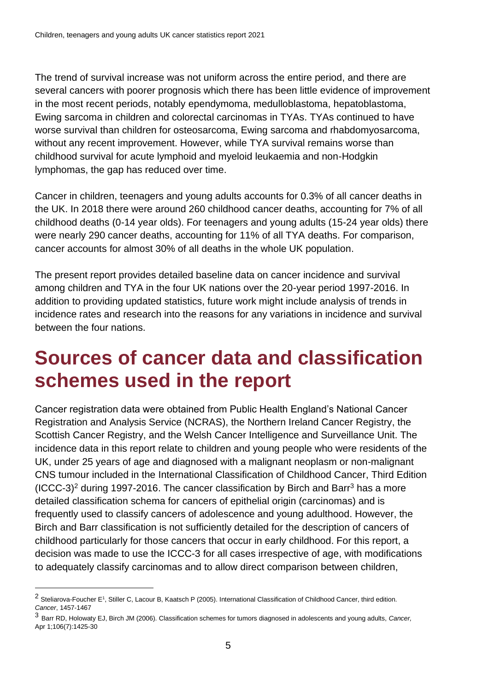The trend of survival increase was not uniform across the entire period, and there are several cancers with poorer prognosis which there has been little evidence of improvement in the most recent periods, notably ependymoma, medulloblastoma, hepatoblastoma, Ewing sarcoma in children and colorectal carcinomas in TYAs. TYAs continued to have worse survival than children for osteosarcoma, Ewing sarcoma and rhabdomyosarcoma, without any recent improvement. However, while TYA survival remains worse than childhood survival for acute lymphoid and myeloid leukaemia and non-Hodgkin lymphomas, the gap has reduced over time.

Cancer in children, teenagers and young adults accounts for 0.3% of all cancer deaths in the UK. In 2018 there were around 260 childhood cancer deaths, accounting for 7% of all childhood deaths (0-14 year olds). For teenagers and young adults (15-24 year olds) there were nearly 290 cancer deaths, accounting for 11% of all TYA deaths. For comparison, cancer accounts for almost 30% of all deaths in the whole UK population.

The present report provides detailed baseline data on cancer incidence and survival among children and TYA in the four UK nations over the 20-year period 1997-2016. In addition to providing updated statistics, future work might include analysis of trends in incidence rates and research into the reasons for any variations in incidence and survival between the four nations.

### <span id="page-4-0"></span>**Sources of cancer data and classification schemes used in the report**

Cancer registration data were obtained from Public Health England's National Cancer Registration and Analysis Service (NCRAS), the Northern Ireland Cancer Registry, the Scottish Cancer Registry, and the Welsh Cancer Intelligence and Surveillance Unit. The incidence data in this report relate to children and young people who were residents of the UK, under 25 years of age and diagnosed with a malignant neoplasm or non-malignant CNS tumour included in the International Classification of Childhood Cancer, Third Edition (ICCC-3)<sup>2</sup> during 1997-2016. The cancer classification by Birch and Barr<sup>3</sup> has a more detailed classification schema for cancers of epithelial origin (carcinomas) and is frequently used to classify cancers of adolescence and young adulthood. However, the Birch and Barr classification is not sufficiently detailed for the description of cancers of childhood particularly for those cancers that occur in early childhood. For this report, a decision was made to use the ICCC-3 for all cases irrespective of age, with modifications to adequately classify carcinomas and to allow direct comparison between children,

<sup>&</sup>lt;sup>2</sup> [Steliarova-Foucher E](https://www.ncbi.nlm.nih.gov/pubmed/?term=Steliarova-Foucher%20E%5BAuthor%5D&cauthor=true&cauthor_uid=15712273)<sup>1</sup>, [Stiller C,](https://www.ncbi.nlm.nih.gov/pubmed/?term=Stiller%20C%5BAuthor%5D&cauthor=true&cauthor_uid=15712273) Lacour B, [Kaatsch P](https://www.ncbi.nlm.nih.gov/pubmed/?term=Kaatsch%20P%5BAuthor%5D&cauthor=true&cauthor_uid=15712273) (2005). International Classification of Childhood Cancer, third edition. *Cancer*, 1457-1467

<sup>3</sup> Barr RD[, Holowaty](https://pubmed.ncbi.nlm.nih.gov/?term=Holowaty+EJ&cauthor_id=16544312) EJ, Birch JM (2006). Classification schemes for tumors diagnosed in adolescents and young adults, *Cancer,*  Apr 1;106(7):1425-30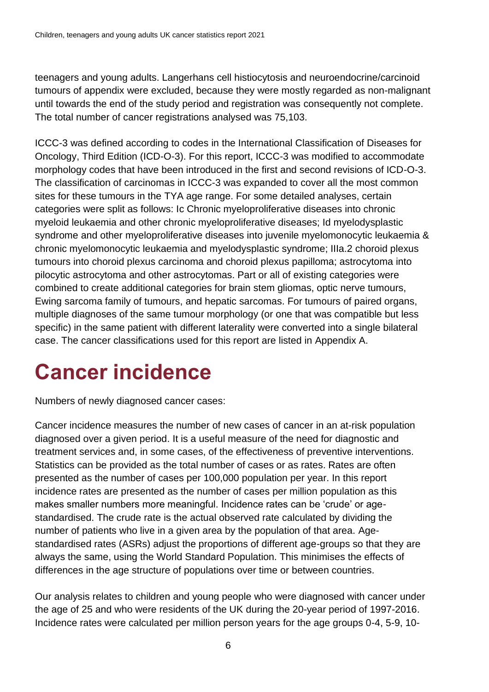teenagers and young adults. Langerhans cell histiocytosis and neuroendocrine/carcinoid tumours of appendix were excluded, because they were mostly regarded as non-malignant until towards the end of the study period and registration was consequently not complete. The total number of cancer registrations analysed was 75,103.

ICCC-3 was defined according to codes in the International Classification of Diseases for Oncology, Third Edition (ICD-O-3). For this report, ICCC-3 was modified to accommodate morphology codes that have been introduced in the first and second revisions of ICD-O-3. The classification of carcinomas in ICCC-3 was expanded to cover all the most common sites for these tumours in the TYA age range. For some detailed analyses, certain categories were split as follows: Ic Chronic myeloproliferative diseases into chronic myeloid leukaemia and other chronic myeloproliferative diseases; Id myelodysplastic syndrome and other myeloproliferative diseases into juvenile myelomonocytic leukaemia & chronic myelomonocytic leukaemia and myelodysplastic syndrome; IIIa.2 choroid plexus tumours into choroid plexus carcinoma and choroid plexus papilloma; astrocytoma into pilocytic astrocytoma and other astrocytomas. Part or all of existing categories were combined to create additional categories for brain stem gliomas, optic nerve tumours, Ewing sarcoma family of tumours, and hepatic sarcomas. For tumours of paired organs, multiple diagnoses of the same tumour morphology (or one that was compatible but less specific) in the same patient with different laterality were converted into a single bilateral case. The cancer classifications used for this report are listed in Appendix A.

# <span id="page-5-0"></span>**Cancer incidence**

Numbers of newly diagnosed cancer cases:

Cancer incidence measures the number of new cases of cancer in an at-risk population diagnosed over a given period. It is a useful measure of the need for diagnostic and treatment services and, in some cases, of the effectiveness of preventive interventions. Statistics can be provided as the total number of cases or as rates. Rates are often presented as the number of cases per 100,000 population per year. In this report incidence rates are presented as the number of cases per million population as this makes smaller numbers more meaningful. Incidence rates can be 'crude' or agestandardised. The crude rate is the actual observed rate calculated by dividing the number of patients who live in a given area by the population of that area. Agestandardised rates (ASRs) adjust the proportions of different age-groups so that they are always the same, using the World Standard Population. This minimises the effects of differences in the age structure of populations over time or between countries.

Our analysis relates to children and young people who were diagnosed with cancer under the age of 25 and who were residents of the UK during the 20-year period of 1997-2016. Incidence rates were calculated per million person years for the age groups 0-4, 5-9, 10-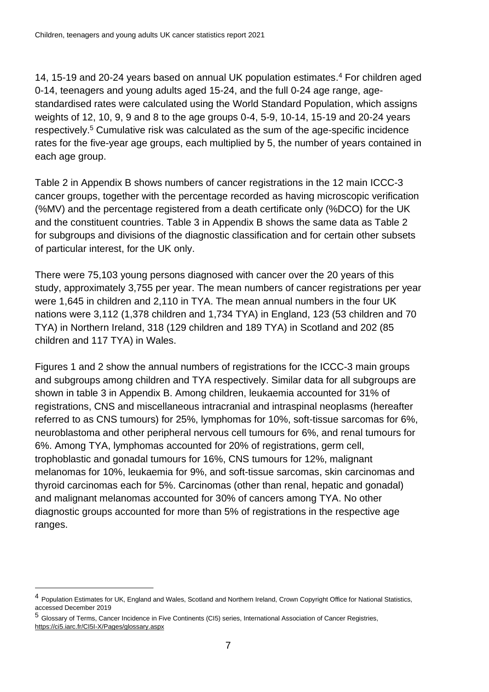14, 15-19 and 20-24 years based on annual UK population estimates. <sup>4</sup> For children aged 0-14, teenagers and young adults aged 15-24, and the full 0-24 age range, agestandardised rates were calculated using the World Standard Population, which assigns weights of 12, 10, 9, 9 and 8 to the age groups 0-4, 5-9, 10-14, 15-19 and 20-24 years respectively. <sup>5</sup> Cumulative risk was calculated as the sum of the age-specific incidence rates for the five-year age groups, each multiplied by 5, the number of years contained in each age group.

Table 2 in Appendix B shows numbers of cancer registrations in the 12 main ICCC-3 cancer groups, together with the percentage recorded as having microscopic verification (%MV) and the percentage registered from a death certificate only (%DCO) for the UK and the constituent countries. Table 3 in Appendix B shows the same data as Table 2 for subgroups and divisions of the diagnostic classification and for certain other subsets of particular interest, for the UK only.

There were 75,103 young persons diagnosed with cancer over the 20 years of this study, approximately 3,755 per year. The mean numbers of cancer registrations per year were 1,645 in children and 2,110 in TYA. The mean annual numbers in the four UK nations were 3,112 (1,378 children and 1,734 TYA) in England, 123 (53 children and 70 TYA) in Northern Ireland, 318 (129 children and 189 TYA) in Scotland and 202 (85 children and 117 TYA) in Wales.

Figures 1 and 2 show the annual numbers of registrations for the ICCC-3 main groups and subgroups among children and TYA respectively. Similar data for all subgroups are shown in table 3 in Appendix B. Among children, leukaemia accounted for 31% of registrations, CNS and miscellaneous intracranial and intraspinal neoplasms (hereafter referred to as CNS tumours) for 25%, lymphomas for 10%, soft-tissue sarcomas for 6%, neuroblastoma and other peripheral nervous cell tumours for 6%, and renal tumours for 6%. Among TYA, lymphomas accounted for 20% of registrations, germ cell, trophoblastic and gonadal tumours for 16%, CNS tumours for 12%, malignant melanomas for 10%, leukaemia for 9%, and soft-tissue sarcomas, skin carcinomas and thyroid carcinomas each for 5%. Carcinomas (other than renal, hepatic and gonadal) and malignant melanomas accounted for 30% of cancers among TYA. No other diagnostic groups accounted for more than 5% of registrations in the respective age ranges.

<sup>&</sup>lt;sup>4</sup> Population Estimates for UK, England and Wales, Scotland and Northern Ireland, Crown Copyright Office for National Statistics, accessed December 2019

<sup>5</sup> Glossary of Terms, Cancer Incidence in Five Continents (CI5) series, International Association of Cancer Registries, https://ci5.iarc.fr/CI5I-X/Pages/glossary.aspx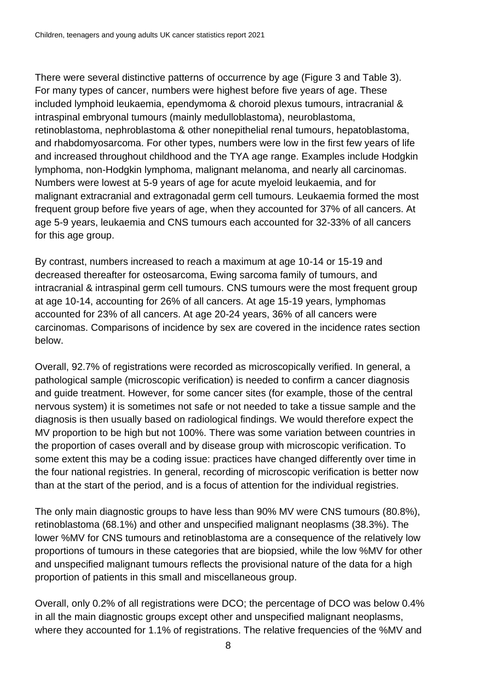There were several distinctive patterns of occurrence by age (Figure 3 and Table 3). For many types of cancer, numbers were highest before five years of age. These included lymphoid leukaemia, ependymoma & choroid plexus tumours, intracranial & intraspinal embryonal tumours (mainly medulloblastoma), neuroblastoma, retinoblastoma, nephroblastoma & other nonepithelial renal tumours, hepatoblastoma, and rhabdomyosarcoma. For other types, numbers were low in the first few years of life and increased throughout childhood and the TYA age range. Examples include Hodgkin lymphoma, non-Hodgkin lymphoma, malignant melanoma, and nearly all carcinomas. Numbers were lowest at 5-9 years of age for acute myeloid leukaemia, and for malignant extracranial and extragonadal germ cell tumours. Leukaemia formed the most frequent group before five years of age, when they accounted for 37% of all cancers. At age 5-9 years, leukaemia and CNS tumours each accounted for 32-33% of all cancers for this age group.

By contrast, numbers increased to reach a maximum at age 10-14 or 15-19 and decreased thereafter for osteosarcoma, Ewing sarcoma family of tumours, and intracranial & intraspinal germ cell tumours. CNS tumours were the most frequent group at age 10-14, accounting for 26% of all cancers. At age 15-19 years, lymphomas accounted for 23% of all cancers. At age 20-24 years, 36% of all cancers were carcinomas. Comparisons of incidence by sex are covered in the incidence rates section below.

Overall, 92.7% of registrations were recorded as microscopically verified. In general, a pathological sample (microscopic verification) is needed to confirm a cancer diagnosis and guide treatment. However, for some cancer sites (for example, those of the central nervous system) it is sometimes not safe or not needed to take a tissue sample and the diagnosis is then usually based on radiological findings. We would therefore expect the MV proportion to be high but not 100%. There was some variation between countries in the proportion of cases overall and by disease group with microscopic verification. To some extent this may be a coding issue: practices have changed differently over time in the four national registries. In general, recording of microscopic verification is better now than at the start of the period, and is a focus of attention for the individual registries.

The only main diagnostic groups to have less than 90% MV were CNS tumours (80.8%), retinoblastoma (68.1%) and other and unspecified malignant neoplasms (38.3%). The lower %MV for CNS tumours and retinoblastoma are a consequence of the relatively low proportions of tumours in these categories that are biopsied, while the low %MV for other and unspecified malignant tumours reflects the provisional nature of the data for a high proportion of patients in this small and miscellaneous group.

Overall, only 0.2% of all registrations were DCO; the percentage of DCO was below 0.4% in all the main diagnostic groups except other and unspecified malignant neoplasms, where they accounted for 1.1% of registrations. The relative frequencies of the %MV and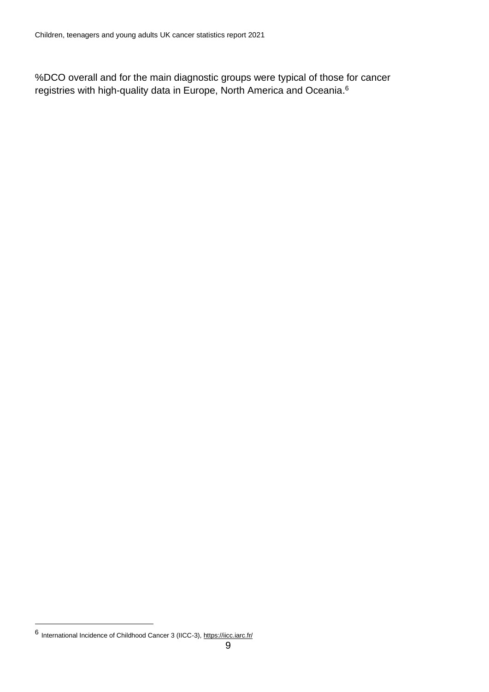%DCO overall and for the main diagnostic groups were typical of those for cancer registries with high-quality data in Europe, North America and Oceania. 6

<sup>6</sup> International Incidence of Childhood Cancer 3 (IICC-3), https://iicc.iarc.fr/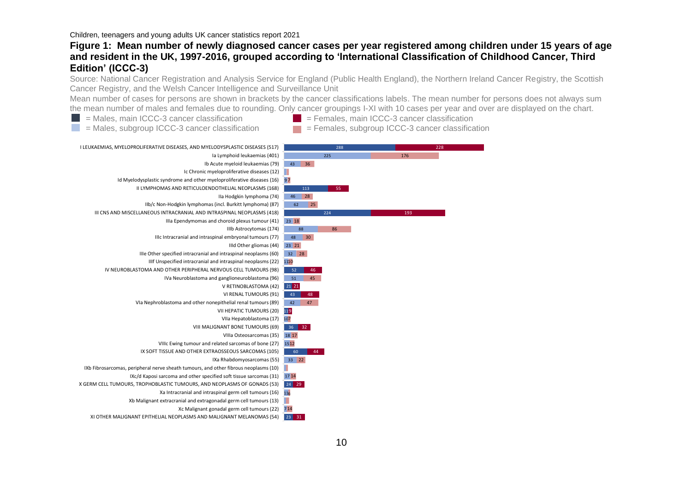#### **Figure 1: Mean number of newly diagnosed cancer cases per year registered among children under 15 years of age and resident in the UK, 1997-2016, grouped according to 'International Classification of Childhood Cancer, Third Edition' (ICCC-3)**

Source: National Cancer Registration and Analysis Service for England (Public Health England), the Northern Ireland Cancer Registry, the Scottish Cancer Registry, and the Welsh Cancer Intelligence and Surveillance Unit

Mean number of cases for persons are shown in brackets by the cancer classifications labels. The mean number for persons does not always sum the mean number of males and females due to rounding. Only cancer groupings I-XI with 10 cases per year and over are displayed on the chart.

- $\blacksquare$  = Males, main ICCC-3 cancer classification  $\blacksquare$  = Females, main ICCC-3 cancer classification
	-
- 
- I LEUKAEMIAS, MYELOPROLIFERATIVE DISEASES, AND MYELODYSPLASTIC DISEASES (517) 288 228  $225$ 176 Ia Lymphoid leukaemias (401) Ib Acute myeloid leukaemias (79) 43 36 Ic Chronic myeloproliferative diseases (12) Id Myelodysplastic syndrome and other myeloproliferative diseases (16) 9 7 II LYMPHOMAS AND RETICULOENDOTHELIAL NEOPLASMS (168) 113 55 IIa Hodgkin lymphoma (74) 46 28 IIb/c Non-Hodgkin lymphomas (incl. Burkitt lymphoma) (87) 62 25 III CNS AND MISCELLANEOUS INTRACRANIAL AND INTRASPINAL NEOPLASMS (418) 193 224 IIIa Ependymomas and choroid plexus tumour (41) 23 18 IIIb Astrocytomas (174) 88 86 1 1 IIIc Intracranial and intraspinal embryonal tumours (77) 48 30 IIId Other gliomas (44) 23 21 IIIe Other specified intracranial and intraspinal neoplasms (60) 32 28  $\frac{110}{21}$ IIIf Unspecified intracranial and intraspinal neoplasms (22) 1110 IV NEUROBLASTOMA AND OTHER PERIPHERAL NERVOUS CELL TUMOURS (98)  $52$ 46 IVa Neuroblastoma and ganglioneuroblastoma (96) 51 45 V RETINOBLASTOMA (42) 21 21 VI RENAL TUMOURS (91) 43 48 VIa Nephroblastoma and other nonepithelial renal tumours (89) 42 47 VII HEPATIC TUMOURS (20) 11<mark>9</mark> VIIa Hepatoblastoma (17) 10 7 VIII MALIGNANT BONE TUMOURS (69) 36 32 VIIIa Osteosarcomas (35) 18 17 VIIIc Ewing tumour and related sarcomas of bone (27) 15 12 IX SOFT TISSUE AND OTHER EXTRAOSSEOUS SARCOMAS (105)  $60$ 44 IXa Rhabdomyosarcomas (55) 33 22 IXb Fibrosarcomas, peripheral nerve sheath tumours, and other fibrous neoplasms (10) IXc/d Kaposi sarcoma and other specified soft tissue sarcomas (31) 17 14 X GERM CELL TUMOURS, TROPHOBLASTIC TUMOURS, AND NEOPLASMS OF GONADS (53) 24 29 Xa Intracranial and intraspinal germ cell tumours (16) 11 6 Xb Malignant extracranial and extragonadal germ cell tumours (13) ш Xc Malignant gonadal germ cell tumours (22) 7 14 XI OTHER MALIGNANT EPITHELIAL NEOPLASMS AND MALIGNANT MELANOMAS (54)23 31
- $\blacksquare$  = Males, subgroup ICCC-3 cancer classification  $\blacksquare$  = Females, subgroup ICCC-3 cancer classification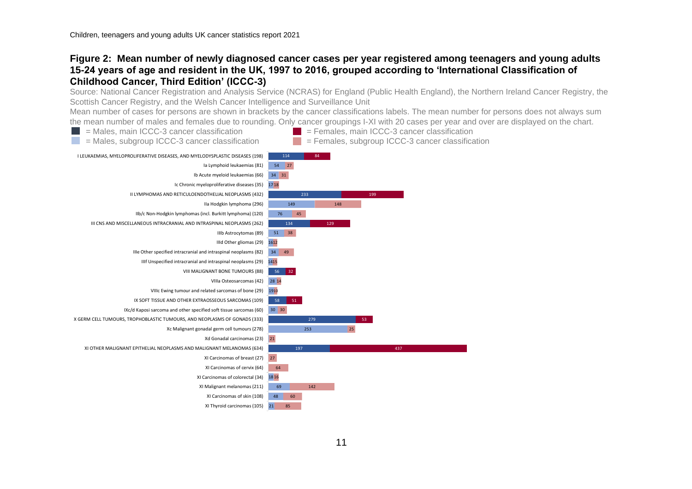#### **Figure 2: Mean number of newly diagnosed cancer cases per year registered among teenagers and young adults 15-24 years of age and resident in the UK, 1997 to 2016, grouped according to 'International Classification of Childhood Cancer, Third Edition' (ICCC-3)**

Source: National Cancer Registration and Analysis Service (NCRAS) for England (Public Health England), the Northern Ireland Cancer Registry, the Scottish Cancer Registry, and the Welsh Cancer Intelligence and Surveillance Unit

Mean number of cases for persons are shown in brackets by the cancer classifications labels. The mean number for persons does not always sum the mean number of males and females due to rounding. Only cancer groupings I-XI with 20 cases per year and over are displayed on the chart.

- 
- $\blacksquare$  = Males, main ICCC-3 cancer classification  $\blacksquare$  = Females, main ICCC-3 cancer classification
	- $=$  Males, subgroup ICCC-3 cancer classification  $=$  Females, subgroup ICCC-3 cancer classification
- 

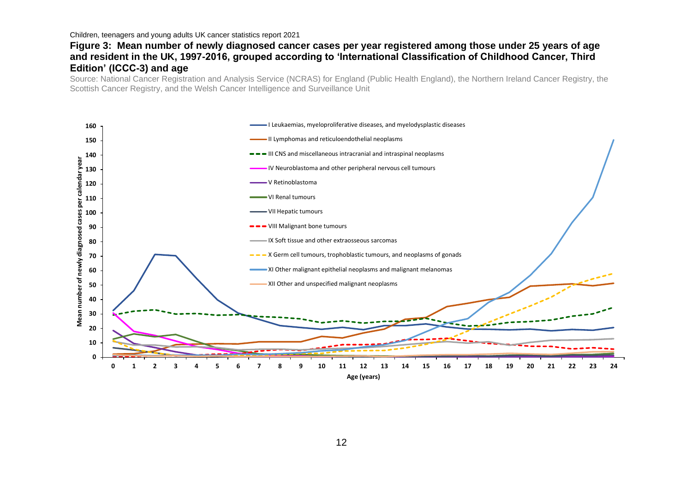#### **Figure 3: Mean number of newly diagnosed cancer cases per year registered among those under 25 years of age and resident in the UK, 1997-2016, grouped according to 'International Classification of Childhood Cancer, Third Edition' (ICCC-3) and age**

Source: National Cancer Registration and Analysis Service (NCRAS) for England (Public Health England), the Northern Ireland Cancer Registry, the Scottish Cancer Registry, and the Welsh Cancer Intelligence and Surveillance Unit

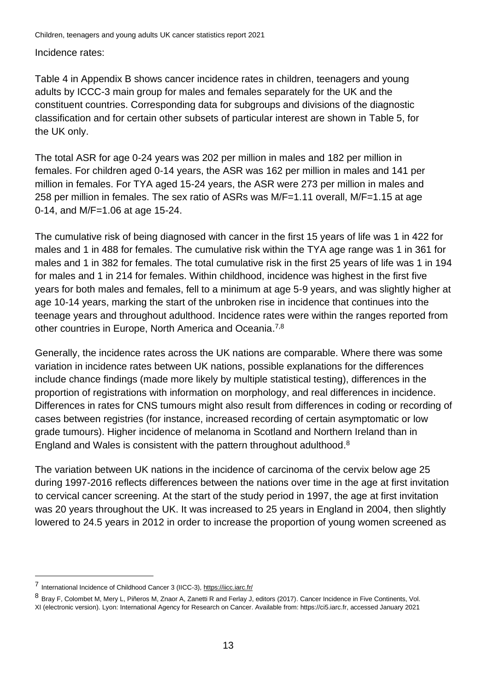Incidence rates:

Table 4 in Appendix B shows cancer incidence rates in children, teenagers and young adults by ICCC-3 main group for males and females separately for the UK and the constituent countries. Corresponding data for subgroups and divisions of the diagnostic classification and for certain other subsets of particular interest are shown in Table 5, for the UK only.

The total ASR for age 0-24 years was 202 per million in males and 182 per million in females. For children aged 0-14 years, the ASR was 162 per million in males and 141 per million in females. For TYA aged 15-24 years, the ASR were 273 per million in males and 258 per million in females. The sex ratio of ASRs was M/F=1.11 overall, M/F=1.15 at age 0-14, and M/F=1.06 at age 15-24.

The cumulative risk of being diagnosed with cancer in the first 15 years of life was 1 in 422 for males and 1 in 488 for females. The cumulative risk within the TYA age range was 1 in 361 for males and 1 in 382 for females. The total cumulative risk in the first 25 years of life was 1 in 194 for males and 1 in 214 for females. Within childhood, incidence was highest in the first five years for both males and females, fell to a minimum at age 5-9 years, and was slightly higher at age 10-14 years, marking the start of the unbroken rise in incidence that continues into the teenage years and throughout adulthood. Incidence rates were within the ranges reported from other countries in Europe, North America and Oceania.<sup>7,8</sup>

Generally, the incidence rates across the UK nations are comparable. Where there was some variation in incidence rates between UK nations, possible explanations for the differences include chance findings (made more likely by multiple statistical testing), differences in the proportion of registrations with information on morphology, and real differences in incidence. Differences in rates for CNS tumours might also result from differences in coding or recording of cases between registries (for instance, increased recording of certain asymptomatic or low grade tumours). Higher incidence of melanoma in Scotland and Northern Ireland than in England and Wales is consistent with the pattern throughout adulthood.<sup>8</sup>

The variation between UK nations in the incidence of carcinoma of the cervix below age 25 during 1997-2016 reflects differences between the nations over time in the age at first invitation to cervical cancer screening. At the start of the study period in 1997, the age at first invitation was 20 years throughout the UK. It was increased to 25 years in England in 2004, then slightly lowered to 24.5 years in 2012 in order to increase the proportion of young women screened as

<sup>7</sup> International Incidence of Childhood Cancer 3 (IICC-3), https://iicc.iarc.fr/

<sup>8</sup> Bray F, Colombet M, Mery L, Piñeros M, Znaor A, Zanetti R and Ferlay J, editors (2017). Cancer Incidence in Five Continents, Vol. XI (electronic version). Lyon: International Agency for Research on Cancer. Available from: https://ci5.iarc.fr, accessed January 2021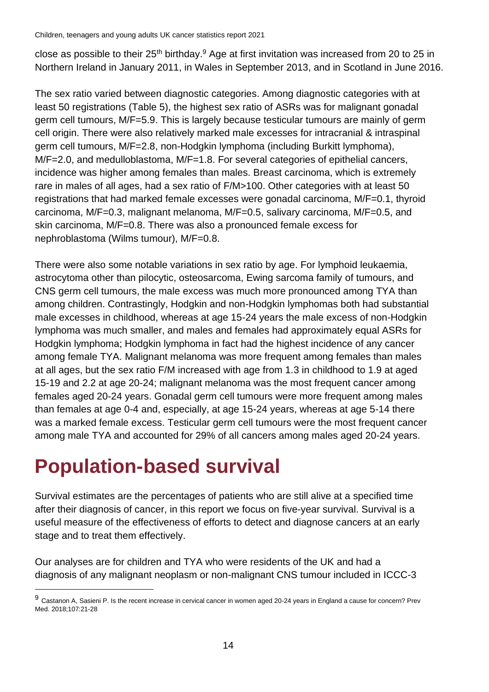close as possible to their 25<sup>th</sup> birthday.<sup>9</sup> Age at first invitation was increased from 20 to 25 in Northern Ireland in January 2011, in Wales in September 2013, and in Scotland in June 2016.

The sex ratio varied between diagnostic categories. Among diagnostic categories with at least 50 registrations (Table 5), the highest sex ratio of ASRs was for malignant gonadal germ cell tumours, M/F=5.9. This is largely because testicular tumours are mainly of germ cell origin. There were also relatively marked male excesses for intracranial & intraspinal germ cell tumours, M/F=2.8, non-Hodgkin lymphoma (including Burkitt lymphoma), M/F=2.0, and medulloblastoma, M/F=1.8. For several categories of epithelial cancers, incidence was higher among females than males. Breast carcinoma, which is extremely rare in males of all ages, had a sex ratio of F/M>100. Other categories with at least 50 registrations that had marked female excesses were gonadal carcinoma, M/F=0.1, thyroid carcinoma, M/F=0.3, malignant melanoma, M/F=0.5, salivary carcinoma, M/F=0.5, and skin carcinoma, M/F=0.8. There was also a pronounced female excess for nephroblastoma (Wilms tumour), M/F=0.8.

There were also some notable variations in sex ratio by age. For lymphoid leukaemia, astrocytoma other than pilocytic, osteosarcoma, Ewing sarcoma family of tumours, and CNS germ cell tumours, the male excess was much more pronounced among TYA than among children. Contrastingly, Hodgkin and non-Hodgkin lymphomas both had substantial male excesses in childhood, whereas at age 15-24 years the male excess of non-Hodgkin lymphoma was much smaller, and males and females had approximately equal ASRs for Hodgkin lymphoma; Hodgkin lymphoma in fact had the highest incidence of any cancer among female TYA. Malignant melanoma was more frequent among females than males at all ages, but the sex ratio F/M increased with age from 1.3 in childhood to 1.9 at aged 15-19 and 2.2 at age 20-24; malignant melanoma was the most frequent cancer among females aged 20-24 years. Gonadal germ cell tumours were more frequent among males than females at age 0-4 and, especially, at age 15-24 years, whereas at age 5-14 there was a marked female excess. Testicular germ cell tumours were the most frequent cancer among male TYA and accounted for 29% of all cancers among males aged 20-24 years.

### <span id="page-13-0"></span>**Population-based survival**

Survival estimates are the percentages of patients who are still alive at a specified time after their diagnosis of cancer, in this report we focus on five-year survival. Survival is a useful measure of the effectiveness of efforts to detect and diagnose cancers at an early stage and to treat them effectively.

Our analyses are for children and TYA who were residents of the UK and had a diagnosis of any malignant neoplasm or non-malignant CNS tumour included in ICCC-3

<sup>9</sup> Castanon A, Sasieni P. [Is the recent increase in cervical cancer in women aged 20-24 years in England a cause for concern?](https://pubmed.ncbi.nlm.nih.gov/29247658/) Prev Med. 2018;107:21-28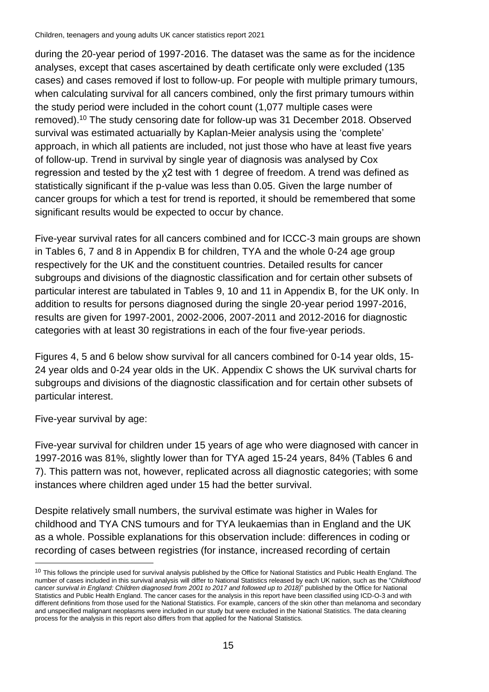during the 20-year period of 1997-2016. The dataset was the same as for the incidence analyses, except that cases ascertained by death certificate only were excluded (135 cases) and cases removed if lost to follow-up. For people with multiple primary tumours, when calculating survival for all cancers combined, only the first primary tumours within the study period were included in the cohort count (1,077 multiple cases were removed). <sup>10</sup> The study censoring date for follow-up was 31 December 2018. Observed survival was estimated actuarially by Kaplan-Meier analysis using the 'complete' approach, in which all patients are included, not just those who have at least five years of follow-up. Trend in survival by single year of diagnosis was analysed by Cox regression and tested by the χ2 test with 1 degree of freedom. A trend was defined as statistically significant if the p-value was less than 0.05. Given the large number of cancer groups for which a test for trend is reported, it should be remembered that some significant results would be expected to occur by chance.

Five-year survival rates for all cancers combined and for ICCC-3 main groups are shown in Tables 6, 7 and 8 in Appendix B for children, TYA and the whole 0-24 age group respectively for the UK and the constituent countries. Detailed results for cancer subgroups and divisions of the diagnostic classification and for certain other subsets of particular interest are tabulated in Tables 9, 10 and 11 in Appendix B, for the UK only. In addition to results for persons diagnosed during the single 20-year period 1997-2016, results are given for 1997-2001, 2002-2006, 2007-2011 and 2012-2016 for diagnostic categories with at least 30 registrations in each of the four five-year periods.

Figures 4, 5 and 6 below show survival for all cancers combined for 0-14 year olds, 15- 24 year olds and 0-24 year olds in the UK. Appendix C shows the UK survival charts for subgroups and divisions of the diagnostic classification and for certain other subsets of particular interest.

Five-year survival by age:

Five-year survival for children under 15 years of age who were diagnosed with cancer in 1997-2016 was 81%, slightly lower than for TYA aged 15-24 years, 84% (Tables 6 and 7). This pattern was not, however, replicated across all diagnostic categories; with some instances where children aged under 15 had the better survival.

Despite relatively small numbers, the survival estimate was higher in Wales for childhood and TYA CNS tumours and for TYA leukaemias than in England and the UK as a whole. Possible explanations for this observation include: differences in coding or recording of cases between registries (for instance, increased recording of certain

 $10$  This follows the principle used for survival analysis published by the Office for National Statistics and Public Health England. The number of cases included in this survival analysis will differ to National Statistics released by each UK nation, such as the "*Childhood cancer survival in England: Children diagnosed from 2001 to 2017 and followed up to 2018)*" published by the Office for National Statistics and Public Health England. The cancer cases for the analysis in this report have been classified using ICD-O-3 and with different definitions from those used for the National Statistics. For example, cancers of the skin other than melanoma and secondary and unspecified malignant neoplasms were included in our study but were excluded in the National Statistics. The data cleaning process for the analysis in this report also differs from that applied for the National Statistics.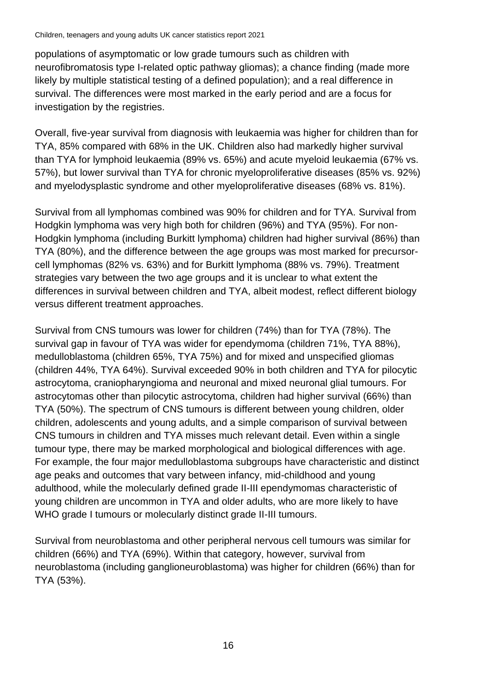populations of asymptomatic or low grade tumours such as children with neurofibromatosis type I-related optic pathway gliomas); a chance finding (made more likely by multiple statistical testing of a defined population); and a real difference in survival. The differences were most marked in the early period and are a focus for investigation by the registries.

Overall, five-year survival from diagnosis with leukaemia was higher for children than for TYA, 85% compared with 68% in the UK. Children also had markedly higher survival than TYA for lymphoid leukaemia (89% vs. 65%) and acute myeloid leukaemia (67% vs. 57%), but lower survival than TYA for chronic myeloproliferative diseases (85% vs. 92%) and myelodysplastic syndrome and other myeloproliferative diseases (68% vs. 81%).

Survival from all lymphomas combined was 90% for children and for TYA. Survival from Hodgkin lymphoma was very high both for children (96%) and TYA (95%). For non-Hodgkin lymphoma (including Burkitt lymphoma) children had higher survival (86%) than TYA (80%), and the difference between the age groups was most marked for precursorcell lymphomas (82% vs. 63%) and for Burkitt lymphoma (88% vs. 79%). Treatment strategies vary between the two age groups and it is unclear to what extent the differences in survival between children and TYA, albeit modest, reflect different biology versus different treatment approaches.

Survival from CNS tumours was lower for children (74%) than for TYA (78%). The survival gap in favour of TYA was wider for ependymoma (children 71%, TYA 88%), medulloblastoma (children 65%, TYA 75%) and for mixed and unspecified gliomas (children 44%, TYA 64%). Survival exceeded 90% in both children and TYA for pilocytic astrocytoma, craniopharyngioma and neuronal and mixed neuronal glial tumours. For astrocytomas other than pilocytic astrocytoma, children had higher survival (66%) than TYA (50%). The spectrum of CNS tumours is different between young children, older children, adolescents and young adults, and a simple comparison of survival between CNS tumours in children and TYA misses much relevant detail. Even within a single tumour type, there may be marked morphological and biological differences with age. For example, the four major medulloblastoma subgroups have characteristic and distinct age peaks and outcomes that vary between infancy, mid-childhood and young adulthood, while the molecularly defined grade II-III ependymomas characteristic of young children are uncommon in TYA and older adults, who are more likely to have WHO grade I tumours or molecularly distinct grade II-III tumours.

Survival from neuroblastoma and other peripheral nervous cell tumours was similar for children (66%) and TYA (69%). Within that category, however, survival from neuroblastoma (including ganglioneuroblastoma) was higher for children (66%) than for TYA (53%).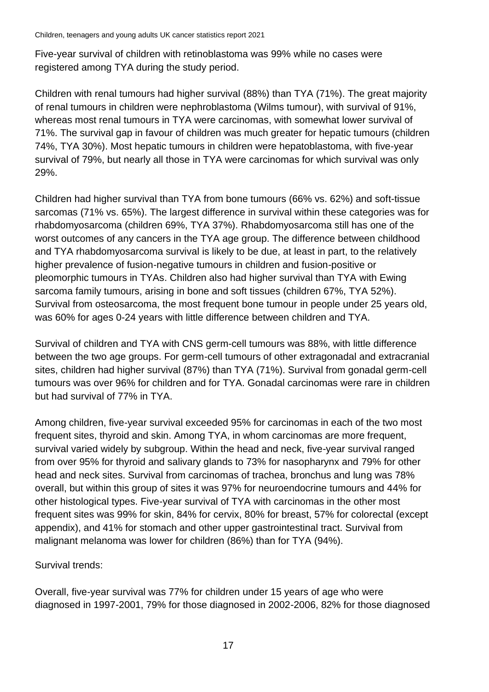Five-year survival of children with retinoblastoma was 99% while no cases were registered among TYA during the study period.

Children with renal tumours had higher survival (88%) than TYA (71%). The great majority of renal tumours in children were nephroblastoma (Wilms tumour), with survival of 91%, whereas most renal tumours in TYA were carcinomas, with somewhat lower survival of 71%. The survival gap in favour of children was much greater for hepatic tumours (children 74%, TYA 30%). Most hepatic tumours in children were hepatoblastoma, with five-year survival of 79%, but nearly all those in TYA were carcinomas for which survival was only 29%.

Children had higher survival than TYA from bone tumours (66% vs. 62%) and soft-tissue sarcomas (71% vs. 65%). The largest difference in survival within these categories was for rhabdomyosarcoma (children 69%, TYA 37%). Rhabdomyosarcoma still has one of the worst outcomes of any cancers in the TYA age group. The difference between childhood and TYA rhabdomyosarcoma survival is likely to be due, at least in part, to the relatively higher prevalence of fusion-negative tumours in children and fusion-positive or pleomorphic tumours in TYAs. Children also had higher survival than TYA with Ewing sarcoma family tumours, arising in bone and soft tissues (children 67%, TYA 52%). Survival from osteosarcoma, the most frequent bone tumour in people under 25 years old, was 60% for ages 0-24 years with little difference between children and TYA.

Survival of children and TYA with CNS germ-cell tumours was 88%, with little difference between the two age groups. For germ-cell tumours of other extragonadal and extracranial sites, children had higher survival (87%) than TYA (71%). Survival from gonadal germ-cell tumours was over 96% for children and for TYA. Gonadal carcinomas were rare in children but had survival of 77% in TYA.

Among children, five-year survival exceeded 95% for carcinomas in each of the two most frequent sites, thyroid and skin. Among TYA, in whom carcinomas are more frequent, survival varied widely by subgroup. Within the head and neck, five-year survival ranged from over 95% for thyroid and salivary glands to 73% for nasopharynx and 79% for other head and neck sites. Survival from carcinomas of trachea, bronchus and lung was 78% overall, but within this group of sites it was 97% for neuroendocrine tumours and 44% for other histological types. Five-year survival of TYA with carcinomas in the other most frequent sites was 99% for skin, 84% for cervix, 80% for breast, 57% for colorectal (except appendix), and 41% for stomach and other upper gastrointestinal tract. Survival from malignant melanoma was lower for children (86%) than for TYA (94%).

### Survival trends:

Overall, five-year survival was 77% for children under 15 years of age who were diagnosed in 1997-2001, 79% for those diagnosed in 2002-2006, 82% for those diagnosed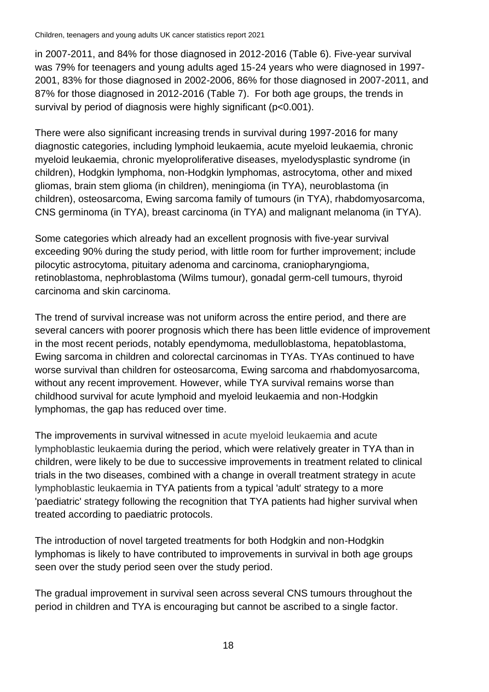in 2007-2011, and 84% for those diagnosed in 2012-2016 (Table 6). Five-year survival was 79% for teenagers and young adults aged 15-24 years who were diagnosed in 1997- 2001, 83% for those diagnosed in 2002-2006, 86% for those diagnosed in 2007-2011, and 87% for those diagnosed in 2012-2016 (Table 7). For both age groups, the trends in survival by period of diagnosis were highly significant (p<0.001).

There were also significant increasing trends in survival during 1997-2016 for many diagnostic categories, including lymphoid leukaemia, acute myeloid leukaemia, chronic myeloid leukaemia, chronic myeloproliferative diseases, myelodysplastic syndrome (in children), Hodgkin lymphoma, non-Hodgkin lymphomas, astrocytoma, other and mixed gliomas, brain stem glioma (in children), meningioma (in TYA), neuroblastoma (in children), osteosarcoma, Ewing sarcoma family of tumours (in TYA), rhabdomyosarcoma, CNS germinoma (in TYA), breast carcinoma (in TYA) and malignant melanoma (in TYA).

Some categories which already had an excellent prognosis with five-year survival exceeding 90% during the study period, with little room for further improvement; include pilocytic astrocytoma, pituitary adenoma and carcinoma, craniopharyngioma, retinoblastoma, nephroblastoma (Wilms tumour), gonadal germ-cell tumours, thyroid carcinoma and skin carcinoma.

The trend of survival increase was not uniform across the entire period, and there are several cancers with poorer prognosis which there has been little evidence of improvement in the most recent periods, notably ependymoma, medulloblastoma, hepatoblastoma, Ewing sarcoma in children and colorectal carcinomas in TYAs. TYAs continued to have worse survival than children for osteosarcoma, Ewing sarcoma and rhabdomyosarcoma, without any recent improvement. However, while TYA survival remains worse than childhood survival for acute lymphoid and myeloid leukaemia and non-Hodgkin lymphomas, the gap has reduced over time.

The improvements in survival witnessed in acute myeloid leukaemia and acute lymphoblastic leukaemia during the period, which were relatively greater in TYA than in children, were likely to be due to successive improvements in treatment related to clinical trials in the two diseases, combined with a change in overall treatment strategy in acute lymphoblastic leukaemia in TYA patients from a typical 'adult' strategy to a more 'paediatric' strategy following the recognition that TYA patients had higher survival when treated according to paediatric protocols.

The introduction of novel targeted treatments for both Hodgkin and non-Hodgkin lymphomas is likely to have contributed to improvements in survival in both age groups seen over the study period seen over the study period.

The gradual improvement in survival seen across several CNS tumours throughout the period in children and TYA is encouraging but cannot be ascribed to a single factor.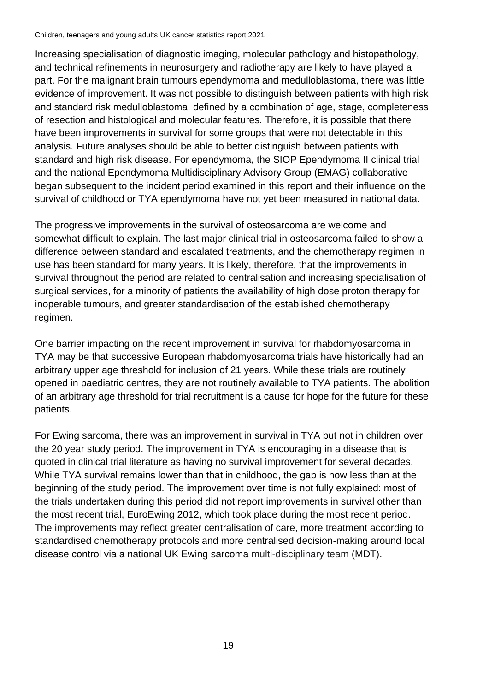Increasing specialisation of diagnostic imaging, molecular pathology and histopathology, and technical refinements in neurosurgery and radiotherapy are likely to have played a part. For the malignant brain tumours ependymoma and medulloblastoma, there was little evidence of improvement. It was not possible to distinguish between patients with high risk and standard risk medulloblastoma, defined by a combination of age, stage, completeness of resection and histological and molecular features. Therefore, it is possible that there have been improvements in survival for some groups that were not detectable in this analysis. Future analyses should be able to better distinguish between patients with standard and high risk disease. For ependymoma, the SIOP Ependymoma II clinical trial and the national Ependymoma Multidisciplinary Advisory Group (EMAG) collaborative began subsequent to the incident period examined in this report and their influence on the survival of childhood or TYA ependymoma have not yet been measured in national data.

The progressive improvements in the survival of osteosarcoma are welcome and somewhat difficult to explain. The last major clinical trial in osteosarcoma failed to show a difference between standard and escalated treatments, and the chemotherapy regimen in use has been standard for many years. It is likely, therefore, that the improvements in survival throughout the period are related to centralisation and increasing specialisation of surgical services, for a minority of patients the availability of high dose proton therapy for inoperable tumours, and greater standardisation of the established chemotherapy regimen.

One barrier impacting on the recent improvement in survival for rhabdomyosarcoma in TYA may be that successive European rhabdomyosarcoma trials have historically had an arbitrary upper age threshold for inclusion of 21 years. While these trials are routinely opened in paediatric centres, they are not routinely available to TYA patients. The abolition of an arbitrary age threshold for trial recruitment is a cause for hope for the future for these patients.

For Ewing sarcoma, there was an improvement in survival in TYA but not in children over the 20 year study period. The improvement in TYA is encouraging in a disease that is quoted in clinical trial literature as having no survival improvement for several decades. While TYA survival remains lower than that in childhood, the gap is now less than at the beginning of the study period. The improvement over time is not fully explained: most of the trials undertaken during this period did not report improvements in survival other than the most recent trial, EuroEwing 2012, which took place during the most recent period. The improvements may reflect greater centralisation of care, more treatment according to standardised chemotherapy protocols and more centralised decision-making around local disease control via a national UK Ewing sarcoma multi-disciplinary team (MDT).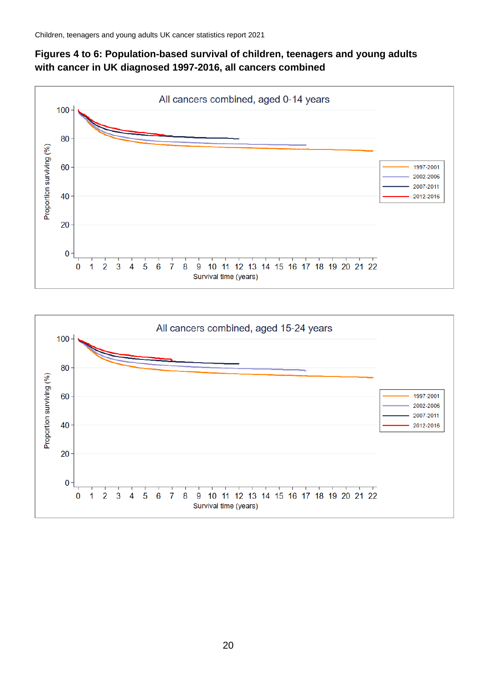### **Figures 4 to 6: Population-based survival of children, teenagers and young adults with cancer in UK diagnosed 1997-2016, all cancers combined**



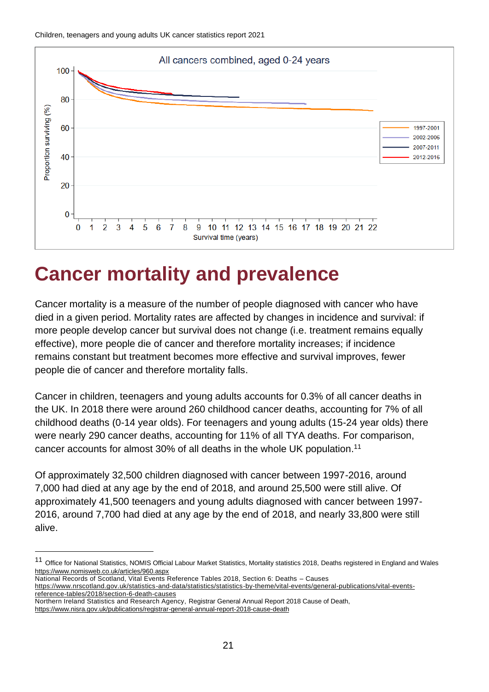

### <span id="page-20-0"></span>**Cancer mortality and prevalence**

Cancer mortality is a measure of the number of people diagnosed with cancer who have died in a given period. Mortality rates are affected by changes in incidence and survival: if more people develop cancer but survival does not change (i.e. treatment remains equally effective), more people die of cancer and therefore mortality increases; if incidence remains constant but treatment becomes more effective and survival improves, fewer people die of cancer and therefore mortality falls.

Cancer in children, teenagers and young adults accounts for 0.3% of all cancer deaths in the UK. In 2018 there were around 260 childhood cancer deaths, accounting for 7% of all childhood deaths (0-14 year olds). For teenagers and young adults (15-24 year olds) there were nearly 290 cancer deaths, accounting for 11% of all TYA deaths. For comparison, cancer accounts for almost 30% of all deaths in the whole UK population.<sup>11</sup>

Of approximately 32,500 children diagnosed with cancer between 1997-2016, around 7,000 had died at any age by the end of 2018, and around 25,500 were still alive. Of approximately 41,500 teenagers and young adults diagnosed with cancer between 1997- 2016, around 7,700 had died at any age by the end of 2018, and nearly 33,800 were still alive.

National Records of Scotland, Vital Events Reference Tables 2018, Section 6: Deaths – Causes

Northern Ireland Statistics and Research Agency, Registrar General Annual Report 2018 Cause of Death,

<https://www.nisra.gov.uk/publications/registrar-general-annual-report-2018-cause-death>

<sup>11</sup> Office for National Statistics, NOMIS Official Labour Market Statistics, Mortality statistics 2018, Deaths registered in England and Wales <https://www.nomisweb.co.uk/articles/960.aspx>

[https://www.nrscotland.gov.uk/statistics-and-data/statistics/statistics-by-theme/vital-events/general-publications/vital-events](https://www.nrscotland.gov.uk/statistics-and-data/statistics/statistics-by-theme/vital-events/general-publications/vital-events-reference-tables/2018/section-6-death-causes)[reference-tables/2018/section-6-death-causes](https://www.nrscotland.gov.uk/statistics-and-data/statistics/statistics-by-theme/vital-events/general-publications/vital-events-reference-tables/2018/section-6-death-causes)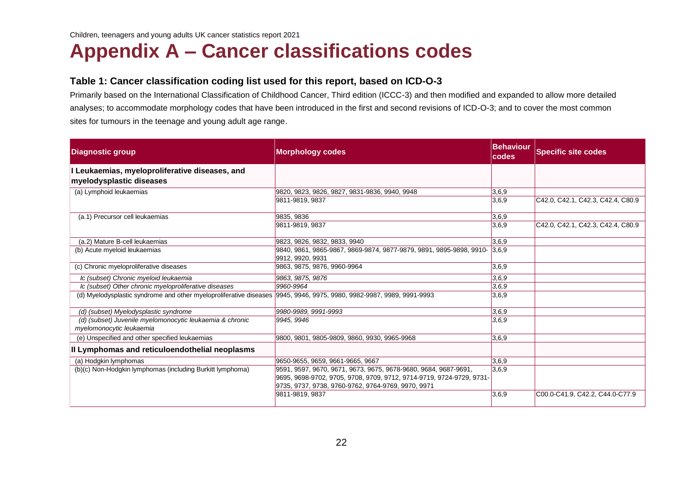### **Appendix A – Cancer classifications codes**

#### **Table 1: Cancer classification coding list used for this report, based on ICD-O-3**

Primarily based on the International Classification of Childhood Cancer, Third edition (ICCC-3) and then modified and expanded to allow more detailed analyses; to accommodate morphology codes that have been introduced in the first and second revisions of ICD-O-3; and to cover the most common sites for tumours in the teenage and young adult age range.

<span id="page-21-0"></span>

| <b>Diagnostic group</b>                                                                                               | <b>Morphology codes</b>                                                                                                                                                                       | <b>Behaviour</b><br>codes | <b>Specific site codes</b>        |
|-----------------------------------------------------------------------------------------------------------------------|-----------------------------------------------------------------------------------------------------------------------------------------------------------------------------------------------|---------------------------|-----------------------------------|
| I Leukaemias, myeloproliferative diseases, and<br>myelodysplastic diseases                                            |                                                                                                                                                                                               |                           |                                   |
| (a) Lymphoid leukaemias                                                                                               | 9820, 9823, 9826, 9827, 9831-9836, 9940, 9948                                                                                                                                                 | 3,6,9                     |                                   |
|                                                                                                                       | 9811-9819, 9837                                                                                                                                                                               | 3,6,9                     | C42.0, C42.1, C42.3, C42.4, C80.9 |
| (a.1) Precursor cell leukaemias                                                                                       | 9835, 9836                                                                                                                                                                                    | 3,6,9                     |                                   |
|                                                                                                                       | 9811-9819, 9837                                                                                                                                                                               | 3,6,9                     | C42.0, C42.1, C42.3, C42.4, C80.9 |
| (a.2) Mature B-cell leukaemias                                                                                        | 9823, 9826, 9832, 9833, 9940                                                                                                                                                                  | 3,6,9                     |                                   |
| (b) Acute myeloid leukaemias                                                                                          | 9840, 9861, 9865-9867, 9869-9874, 9877-9879, 9891, 9895-9898, 9910- 3,6,9<br>9912, 9920, 9931                                                                                                 |                           |                                   |
| (c) Chronic myeloproliferative diseases                                                                               | 9863, 9875, 9876, 9960-9964                                                                                                                                                                   | 3,6,9                     |                                   |
| Ic (subset) Chronic myeloid leukaemia                                                                                 | 9863, 9875, 9876                                                                                                                                                                              | 3,6.9                     |                                   |
| Ic (subset) Other chronic myeloproliferative diseases                                                                 | 9960-9964                                                                                                                                                                                     | 3,6.9                     |                                   |
| (d) Myelodysplastic syndrome and other myeloproliferative diseases 9945, 9946, 9975, 9980, 9982-9987, 9989, 9991-9993 |                                                                                                                                                                                               | 3,6,9                     |                                   |
| (d) (subset) Myelodysplastic syndrome                                                                                 | 9980-9989, 9991-9993                                                                                                                                                                          | 3,6.9                     |                                   |
| (d) (subset) Juvenile myelomonocytic leukaemia & chronic<br>myelomonocytic leukaemia                                  | 9945, 9946                                                                                                                                                                                    | 3,6.9                     |                                   |
| (e) Unspecified and other specified leukaemias                                                                        | 9800, 9801, 9805-9809, 9860, 9930, 9965-9968                                                                                                                                                  | 3,6,9                     |                                   |
| Il Lymphomas and reticuloendothelial neoplasms                                                                        |                                                                                                                                                                                               |                           |                                   |
| (a) Hodgkin lymphomas                                                                                                 | 9650-9655, 9659, 9661-9665, 9667                                                                                                                                                              | 3,6,9                     |                                   |
| (b)(c) Non-Hodgkin lymphomas (including Burkitt lymphoma)                                                             | 9591, 9597, 9670, 9671, 9673, 9675, 9678-9680, 9684, 9687-9691,<br>9695, 9698-9702, 9705, 9708, 9709, 9712, 9714-9719, 9724-9729, 9731-<br>9735, 9737, 9738, 9760-9762, 9764-9769, 9970, 9971 | 3,6,9                     |                                   |
|                                                                                                                       | 9811-9819, 9837                                                                                                                                                                               | 3,6,9                     | C00.0-C41.9, C42.2, C44.0-C77.9   |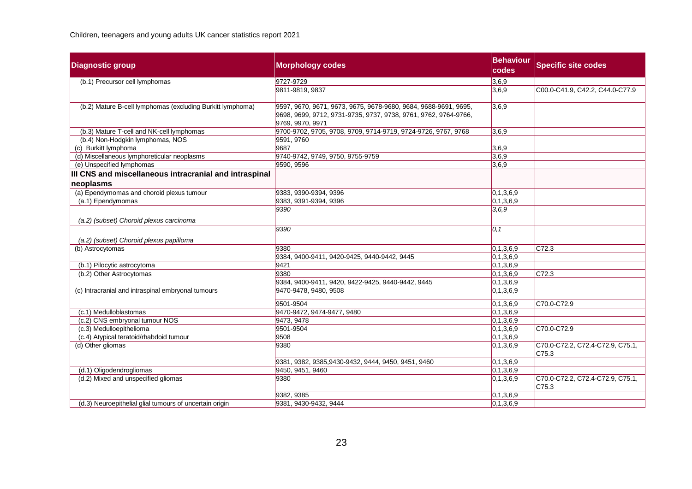| <b>Diagnostic group</b>                                             | <b>Morphology codes</b>                                                                                                                                | <b>Behaviour</b><br>codes | <b>Specific site codes</b>                |
|---------------------------------------------------------------------|--------------------------------------------------------------------------------------------------------------------------------------------------------|---------------------------|-------------------------------------------|
| (b.1) Precursor cell lymphomas                                      | 9727-9729                                                                                                                                              | 3,6,9                     |                                           |
|                                                                     | 9811-9819, 9837                                                                                                                                        | 3,6,9                     | C00.0-C41.9, C42.2, C44.0-C77.9           |
| (b.2) Mature B-cell lymphomas (excluding Burkitt lymphoma)          | 9597, 9670, 9671, 9673, 9675, 9678-9680, 9684, 9688-9691, 9695,<br>9698, 9699, 9712, 9731-9735, 9737, 9738, 9761, 9762, 9764-9766,<br>9769, 9970, 9971 | 3,6,9                     |                                           |
| (b.3) Mature T-cell and NK-cell lymphomas                           | 9700-9702, 9705, 9708, 9709, 9714-9719, 9724-9726, 9767, 9768                                                                                          | 3,6,9                     |                                           |
| (b.4) Non-Hodgkin lymphomas, NOS                                    | 9591, 9760                                                                                                                                             |                           |                                           |
| (c) Burkitt lymphoma                                                | 9687                                                                                                                                                   | 3,6,9                     |                                           |
| (d) Miscellaneous lymphoreticular neoplasms                         | 9740-9742, 9749, 9750, 9755-9759                                                                                                                       | 3,6,9                     |                                           |
| (e) Unspecified lymphomas                                           | 9590, 9596                                                                                                                                             | 3,6,9                     |                                           |
| III CNS and miscellaneous intracranial and intraspinal<br>neoplasms |                                                                                                                                                        |                           |                                           |
| (a) Ependymomas and choroid plexus tumour                           | 9383, 9390-9394, 9396                                                                                                                                  | 0,1,3,6,9                 |                                           |
| (a.1) Ependymomas                                                   | 9383, 9391-9394, 9396                                                                                                                                  | 0,1,3,6,9                 |                                           |
| (a.2) (subset) Choroid plexus carcinoma                             | 9390                                                                                                                                                   | 3,6,9                     |                                           |
| (a.2) (subset) Choroid plexus papilloma                             | 9390                                                                                                                                                   | $ 0,1\rangle$             |                                           |
| (b) Astrocytomas                                                    | 9380                                                                                                                                                   | 0,1,3,6,9                 | C72.3                                     |
|                                                                     | 9384, 9400-9411, 9420-9425, 9440-9442, 9445                                                                                                            | 0,1,3,6,9                 |                                           |
| (b.1) Pilocytic astrocytoma                                         | 9421                                                                                                                                                   | 0,1,3,6,9                 |                                           |
| (b.2) Other Astrocytomas                                            | 9380                                                                                                                                                   | 0,1,3,6,9                 | C72.3                                     |
|                                                                     | 9384, 9400-9411, 9420, 9422-9425, 9440-9442, 9445                                                                                                      | 0,1,3,6,9                 |                                           |
| (c) Intracranial and intraspinal embryonal tumours                  | 9470-9478, 9480, 9508                                                                                                                                  | 0,1,3,6,9                 |                                           |
|                                                                     | 9501-9504                                                                                                                                              | 0,1,3,6,9                 | C70.0-C72.9                               |
| (c.1) Medulloblastomas                                              | 9470-9472, 9474-9477, 9480                                                                                                                             | 0,1,3,6,9                 |                                           |
| (c.2) CNS embryonal tumour NOS                                      | 9473, 9478                                                                                                                                             | 0,1,3,6,9                 |                                           |
| (c.3) Medulloepithelioma                                            | 9501-9504                                                                                                                                              | 0,1,3,6,9                 | C70.0-C72.9                               |
| (c.4) Atypical teratoid/rhabdoid tumour                             | 9508                                                                                                                                                   | 0,1,3,6,9                 |                                           |
| (d) Other gliomas                                                   | 9380                                                                                                                                                   | 0,1,3,6,9                 | C70.0-C72.2, C72.4-C72.9, C75.1,<br>C75.3 |
|                                                                     | 9381, 9382, 9385, 9430-9432, 9444, 9450, 9451, 9460                                                                                                    | 0,1,3,6,9                 |                                           |
| (d.1) Oligodendrogliomas                                            | 9450, 9451, 9460                                                                                                                                       | 0, 1, 3, 6, 9             |                                           |
| (d.2) Mixed and unspecified gliomas                                 | 9380                                                                                                                                                   | 0,1,3,6,9                 | C70.0-C72.2, C72.4-C72.9, C75.1,<br>C75.3 |
|                                                                     | 9382, 9385                                                                                                                                             | 0,1,3,6,9                 |                                           |
| (d.3) Neuroepithelial glial tumours of uncertain origin             | 9381, 9430-9432, 9444                                                                                                                                  | 0,1,3,6,9                 |                                           |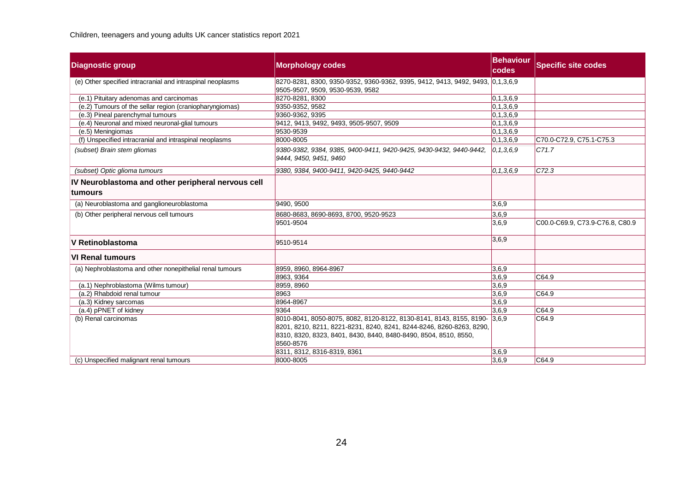| <b>Diagnostic group</b>                                               | <b>Morphology codes</b>                                                                                                                                                                                                            | <b>Behaviour</b><br><b>codes</b> | <b>Specific site codes</b>      |
|-----------------------------------------------------------------------|------------------------------------------------------------------------------------------------------------------------------------------------------------------------------------------------------------------------------------|----------------------------------|---------------------------------|
| (e) Other specified intracranial and intraspinal neoplasms            | 8270-8281, 8300, 9350-9352, 9360-9362, 9395, 9412, 9413, 9492, 9493, 0,1,3,6,9<br>9505-9507, 9509, 9530-9539, 9582                                                                                                                 |                                  |                                 |
| (e.1) Pituitary adenomas and carcinomas                               | 8270-8281, 8300                                                                                                                                                                                                                    | 0,1,3,6,9                        |                                 |
| (e.2) Tumours of the sellar region (craniopharyngiomas)               | 9350-9352, 9582                                                                                                                                                                                                                    | 0, 1, 3, 6, 9                    |                                 |
| (e.3) Pineal parenchymal tumours                                      | 9360-9362, 9395                                                                                                                                                                                                                    | 0,1,3,6,9                        |                                 |
| (e.4) Neuronal and mixed neuronal-glial tumours                       | 9412, 9413, 9492, 9493, 9505-9507, 9509                                                                                                                                                                                            | 0,1,3,6,9                        |                                 |
| (e.5) Meningiomas                                                     | 9530-9539                                                                                                                                                                                                                          | 0,1,3,6,9                        |                                 |
| (f) Unspecified intracranial and intraspinal neoplasms                | 8000-8005                                                                                                                                                                                                                          | 0,1,3,6,9                        | C70.0-C72.9, C75.1-C75.3        |
| (subset) Brain stem gliomas                                           | 9380-9382, 9384, 9385, 9400-9411, 9420-9425, 9430-9432, 9440-9442,<br>9444, 9450, 9451, 9460                                                                                                                                       | 0, 1, 3, 6, 9                    | C71.7                           |
| (subset) Optic glioma tumours                                         | 9380, 9384, 9400-9411, 9420-9425, 9440-9442                                                                                                                                                                                        | 0, 1, 3, 6, 9                    | C72.3                           |
| IV Neuroblastoma and other peripheral nervous cell<br><u>ltumours</u> |                                                                                                                                                                                                                                    |                                  |                                 |
| (a) Neuroblastoma and ganglioneuroblastoma                            | 9490, 9500                                                                                                                                                                                                                         | 3,6,9                            |                                 |
| (b) Other peripheral nervous cell tumours                             | 8680-8683, 8690-8693, 8700, 9520-9523                                                                                                                                                                                              | 3,6,9                            |                                 |
|                                                                       | 9501-9504                                                                                                                                                                                                                          | 3,6,9                            | C00.0-C69.9, C73.9-C76.8, C80.9 |
| V Retinoblastoma                                                      | 9510-9514                                                                                                                                                                                                                          | 3,6,9                            |                                 |
| <b>VI Renal tumours</b>                                               |                                                                                                                                                                                                                                    |                                  |                                 |
| (a) Nephroblastoma and other nonepithelial renal tumours              | 8959, 8960, 8964-8967                                                                                                                                                                                                              | 3,6,9                            |                                 |
|                                                                       | 8963, 9364                                                                                                                                                                                                                         | 3,6,9                            | CG4.9                           |
| (a.1) Nephroblastoma (Wilms tumour)                                   | 8959, 8960                                                                                                                                                                                                                         | 3,6,9                            |                                 |
| (a.2) Rhabdoid renal tumour                                           | 8963                                                                                                                                                                                                                               | 3,6,9                            | CG4.9                           |
| (a.3) Kidney sarcomas                                                 | 8964-8967                                                                                                                                                                                                                          | 3,6,9                            |                                 |
| (a.4) pPNET of kidney                                                 | 9364                                                                                                                                                                                                                               | 3,6,9                            | CG4.9                           |
| (b) Renal carcinomas                                                  | 8010-8041, 8050-8075, 8082, 8120-8122, 8130-8141, 8143, 8155, 8190- 3,6,9<br>8201, 8210, 8211, 8221-8231, 8240, 8241, 8244-8246, 8260-8263, 8290,<br>8310, 8320, 8323, 8401, 8430, 8440, 8480-8490, 8504, 8510, 8550,<br>8560-8576 |                                  | C64.9                           |
|                                                                       | 8311, 8312, 8316-8319, 8361                                                                                                                                                                                                        | 3,6,9                            |                                 |
| (c) Unspecified malignant renal tumours                               | 8000-8005                                                                                                                                                                                                                          | 3.6.9                            | CG4.9                           |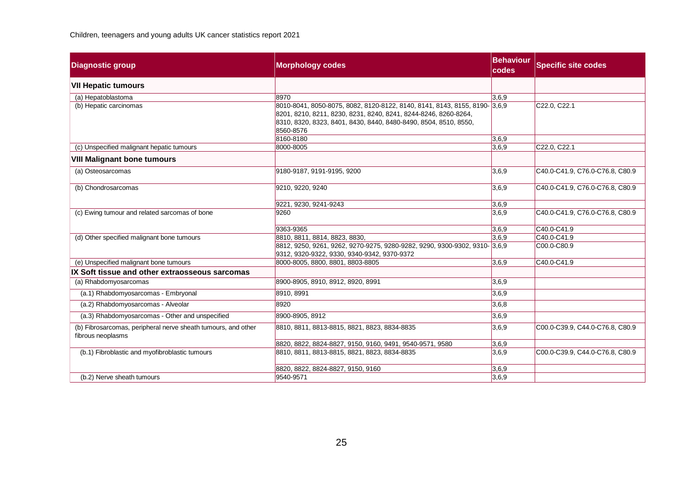| <b>Diagnostic group</b>                                                            | <b>Morphology codes</b>                                                                                                                                                                                                        | <b>Behaviour</b><br>codes | <b>Specific site codes</b>      |
|------------------------------------------------------------------------------------|--------------------------------------------------------------------------------------------------------------------------------------------------------------------------------------------------------------------------------|---------------------------|---------------------------------|
| <b>VII Hepatic tumours</b>                                                         |                                                                                                                                                                                                                                |                           |                                 |
| (a) Hepatoblastoma                                                                 | 8970                                                                                                                                                                                                                           | 3,6,9                     |                                 |
| (b) Hepatic carcinomas                                                             | 8010-8041, 8050-8075, 8082, 8120-8122, 8140, 8141, 8143, 8155, 8190- 3,6,9<br>8201, 8210, 8211, 8230, 8231, 8240, 8241, 8244-8246, 8260-8264,<br>8310, 8320, 8323, 8401, 8430, 8440, 8480-8490, 8504, 8510, 8550,<br>8560-8576 |                           | C22.0, C22.1                    |
|                                                                                    | 8160-8180                                                                                                                                                                                                                      | 3,6,9                     |                                 |
| (c) Unspecified malignant hepatic tumours                                          | 8000-8005                                                                                                                                                                                                                      | 3,6,9                     | C22.0, C22.1                    |
| <b>VIII Malignant bone tumours</b>                                                 |                                                                                                                                                                                                                                |                           |                                 |
| (a) Osteosarcomas                                                                  | 9180-9187, 9191-9195, 9200                                                                                                                                                                                                     | 3,6,9                     | C40.0-C41.9, C76.0-C76.8, C80.9 |
| (b) Chondrosarcomas                                                                | 9210, 9220, 9240                                                                                                                                                                                                               | 3,6,9                     | C40.0-C41.9, C76.0-C76.8, C80.9 |
|                                                                                    | 9221, 9230, 9241-9243                                                                                                                                                                                                          | 3,6,9                     |                                 |
| (c) Ewing tumour and related sarcomas of bone                                      | 9260                                                                                                                                                                                                                           | 3,6,9                     | C40.0-C41.9, C76.0-C76.8, C80.9 |
|                                                                                    | 9363-9365                                                                                                                                                                                                                      | 3.6.9                     | C40.0-C41.9                     |
| (d) Other specified malignant bone tumours                                         | 8810, 8811, 8814, 8823, 8830,                                                                                                                                                                                                  | 3,6,9                     | C40.0-C41.9                     |
|                                                                                    | 8812, 9250, 9261, 9262, 9270-9275, 9280-9282, 9290, 9300-9302, 9310- 3,6,9<br>9312, 9320-9322, 9330, 9340-9342, 9370-9372                                                                                                      |                           | C00.0-C80.9                     |
| (e) Unspecified malignant bone tumours                                             | 8000-8005, 8800, 8801, 8803-8805                                                                                                                                                                                               | 3,6,9                     | C40.0-C41.9                     |
| IX Soft tissue and other extraosseous sarcomas                                     |                                                                                                                                                                                                                                |                           |                                 |
| (a) Rhabdomyosarcomas                                                              | 8900-8905, 8910, 8912, 8920, 8991                                                                                                                                                                                              | 3,6,9                     |                                 |
| (a.1) Rhabdomyosarcomas - Embryonal                                                | 8910.8991                                                                                                                                                                                                                      | 3,6,9                     |                                 |
| (a.2) Rhabdomyosarcomas - Alveolar                                                 | 8920                                                                                                                                                                                                                           | 3,6,8                     |                                 |
| (a.3) Rhabdomyosarcomas - Other and unspecified                                    | 8900-8905, 8912                                                                                                                                                                                                                | 3,6,9                     |                                 |
| (b) Fibrosarcomas, peripheral nerve sheath tumours, and other<br>fibrous neoplasms | 8810, 8811, 8813-8815, 8821, 8823, 8834-8835                                                                                                                                                                                   | 3,6,9                     | C00.0-C39.9, C44.0-C76.8, C80.9 |
|                                                                                    | 8820, 8822, 8824-8827, 9150, 9160, 9491, 9540-9571, 9580                                                                                                                                                                       | 3,6,9                     |                                 |
| (b.1) Fibroblastic and myofibroblastic tumours                                     | 8810, 8811, 8813-8815, 8821, 8823, 8834-8835                                                                                                                                                                                   | 3,6,9                     | C00.0-C39.9, C44.0-C76.8, C80.9 |
|                                                                                    | 8820, 8822, 8824-8827, 9150, 9160                                                                                                                                                                                              | 3,6,9                     |                                 |
| (b.2) Nerve sheath tumours                                                         | 9540-9571                                                                                                                                                                                                                      | 3,6,9                     |                                 |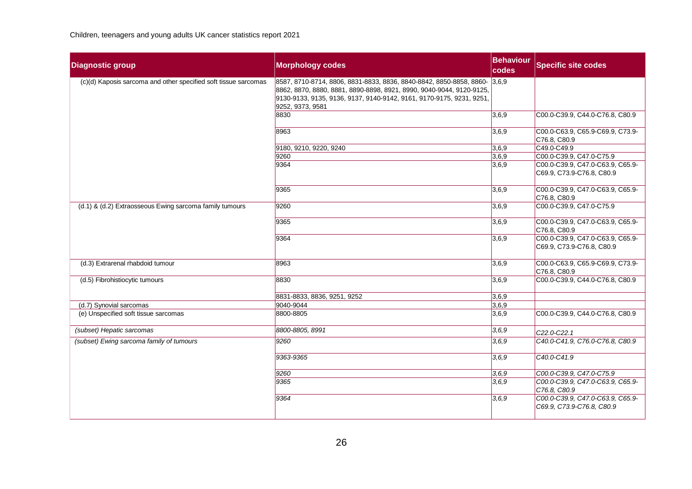| <b>Diagnostic group</b>                                         | <b>Morphology codes</b>                                                                                                                                                                                                                       | <b>Behaviour</b><br>codes | <b>Specific site codes</b>                                    |
|-----------------------------------------------------------------|-----------------------------------------------------------------------------------------------------------------------------------------------------------------------------------------------------------------------------------------------|---------------------------|---------------------------------------------------------------|
| (c)(d) Kaposis sarcoma and other specified soft tissue sarcomas | 8587, 8710-8714, 8806, 8831-8833, 8836, 8840-8842, 8850-8858, 8860- 3,6,9<br>8862, 8870, 8880, 8881, 8890-8898, 8921, 8990, 9040-9044, 9120-9125,<br>9130-9133, 9135, 9136, 9137, 9140-9142, 9161, 9170-9175, 9231, 9251,<br>9252, 9373, 9581 |                           |                                                               |
|                                                                 | 8830                                                                                                                                                                                                                                          | 3,6,9                     | C00.0-C39.9, C44.0-C76.8, C80.9                               |
|                                                                 | 8963                                                                                                                                                                                                                                          | 3,6,9                     | C00.0-C63.9, C65.9-C69.9, C73.9-<br>C76.8, C80.9              |
|                                                                 | 9180, 9210, 9220, 9240                                                                                                                                                                                                                        | 3,6,9                     | C49.0-C49.9                                                   |
|                                                                 | 9260                                                                                                                                                                                                                                          | 3,6,9                     | C00.0-C39.9, C47.0-C75.9                                      |
|                                                                 | 9364                                                                                                                                                                                                                                          | 3,6,9                     | C00.0-C39.9, C47.0-C63.9, C65.9-<br>C69.9, C73.9-C76.8, C80.9 |
|                                                                 | 9365                                                                                                                                                                                                                                          | 3,6,9                     | C00.0-C39.9, C47.0-C63.9, C65.9-<br>C76.8, C80.9              |
| (d.1) & (d.2) Extraosseous Ewing sarcoma family tumours         | 9260                                                                                                                                                                                                                                          | 3,6,9                     | C00.0-C39.9, C47.0-C75.9                                      |
|                                                                 | 9365                                                                                                                                                                                                                                          | 3,6,9                     | C00.0-C39.9, C47.0-C63.9, C65.9-<br>C76.8, C80.9              |
|                                                                 | 9364                                                                                                                                                                                                                                          | 3,6,9                     | C00.0-C39.9, C47.0-C63.9, C65.9-<br>C69.9, C73.9-C76.8, C80.9 |
| (d.3) Extrarenal rhabdoid tumour                                | 8963                                                                                                                                                                                                                                          | 3,6,9                     | C00.0-C63.9, C65.9-C69.9, C73.9-<br>C76.8, C80.9              |
| (d.5) Fibrohistiocytic tumours                                  | 8830                                                                                                                                                                                                                                          | 3,6,9                     | C00.0-C39.9, C44.0-C76.8, C80.9                               |
|                                                                 | 8831-8833, 8836, 9251, 9252                                                                                                                                                                                                                   | $\sqrt{3,6,9}$            |                                                               |
| (d.7) Synovial sarcomas                                         | 9040-9044                                                                                                                                                                                                                                     | 3,6,9                     |                                                               |
| (e) Unspecified soft tissue sarcomas                            | 8800-8805                                                                                                                                                                                                                                     | 3,6,9                     | C00.0-C39.9, C44.0-C76.8, C80.9                               |
| (subset) Hepatic sarcomas                                       | 8800-8805, 8991                                                                                                                                                                                                                               | 3,6.9                     | C22.0-C22.1                                                   |
| (subset) Ewing sarcoma family of tumours                        | 9260                                                                                                                                                                                                                                          | 3,6,9                     | C40.0-C41.9, C76.0-C76.8, C80.9                               |
|                                                                 | 9363-9365                                                                                                                                                                                                                                     | 3,6,9                     | C40.0-C41.9                                                   |
|                                                                 | 9260                                                                                                                                                                                                                                          | 3,6,9                     | C00.0-C39.9, C47.0-C75.9                                      |
|                                                                 | 9365                                                                                                                                                                                                                                          | 3,6,9                     | C00.0-C39.9, C47.0-C63.9, C65.9-<br>C76.8, C80.9              |
|                                                                 | 9364                                                                                                                                                                                                                                          | 3,6,9                     | C00.0-C39.9, C47.0-C63.9, C65.9-<br>C69.9, C73.9-C76.8, C80.9 |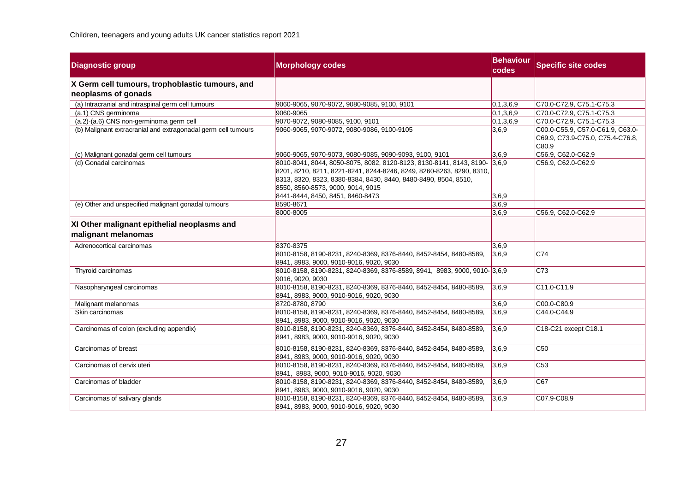| <b>Diagnostic group</b>                                                | <b>Morphology codes</b>                                                                                                                                                                                                                                   | <b>Behaviour</b><br>codes | <b>Specific site codes</b>                                                    |
|------------------------------------------------------------------------|-----------------------------------------------------------------------------------------------------------------------------------------------------------------------------------------------------------------------------------------------------------|---------------------------|-------------------------------------------------------------------------------|
| X Germ cell tumours, trophoblastic tumours, and<br>neoplasms of gonads |                                                                                                                                                                                                                                                           |                           |                                                                               |
| (a) Intracranial and intraspinal germ cell tumours                     | 9060-9065, 9070-9072, 9080-9085, 9100, 9101                                                                                                                                                                                                               | 0, 1, 3, 6, 9             | C70.0-C72.9, C75.1-C75.3                                                      |
| (a.1) CNS germinoma                                                    | 9060-9065                                                                                                                                                                                                                                                 | 0, 1, 3, 6, 9             | C70.0-C72.9, C75.1-C75.3                                                      |
| (a.2)-(a.6) CNS non-germinoma germ cell                                | 9070-9072, 9080-9085, 9100, 9101                                                                                                                                                                                                                          | 0,1,3,6,9                 | C70.0-C72.9, C75.1-C75.3                                                      |
| (b) Malignant extracranial and extragonadal germ cell tumours          | 9060-9065, 9070-9072, 9080-9086, 9100-9105                                                                                                                                                                                                                | 3,6,9                     | C00.0-C55.9, C57.0-C61.9, C63.0-<br>C69.9, C73.9-C75.0, C75.4-C76.8,<br>C80.9 |
| (c) Malignant gonadal germ cell tumours                                | 9060-9065, 9070-9073, 9080-9085, 9090-9093, 9100, 9101                                                                                                                                                                                                    | 3.6.9                     | C56.9, C62.0-C62.9                                                            |
| (d) Gonadal carcinomas                                                 | 8010-8041, 8044, 8050-8075, 8082, 8120-8123, 8130-8141, 8143, 8190- 3,6,9<br>8201, 8210, 8211, 8221-8241, 8244-8246, 8249, 8260-8263, 8290, 8310,<br>8313, 8320, 8323, 8380-8384, 8430, 8440, 8480-8490, 8504, 8510,<br>8550, 8560-8573, 9000, 9014, 9015 |                           | C56.9, C62.0-C62.9                                                            |
|                                                                        | 8441-8444, 8450, 8451, 8460-8473                                                                                                                                                                                                                          | 3,6,9                     |                                                                               |
| (e) Other and unspecified malignant gonadal tumours                    | 8590-8671<br>8000-8005                                                                                                                                                                                                                                    | 3,6,9<br>3,6,9            | C56.9, C62.0-C62.9                                                            |
| XI Other malignant epithelial neoplasms and<br>malignant melanomas     |                                                                                                                                                                                                                                                           |                           |                                                                               |
| Adrenocortical carcinomas                                              | 8370-8375                                                                                                                                                                                                                                                 | 3,6,9                     |                                                                               |
|                                                                        | 8010-8158, 8190-8231, 8240-8369, 8376-8440, 8452-8454, 8480-8589,<br>8941, 8983, 9000, 9010-9016, 9020, 9030                                                                                                                                              | 3,6,9                     | C74                                                                           |
| Thyroid carcinomas                                                     | 8010-8158, 8190-8231, 8240-8369, 8376-8589, 8941, 8983, 9000, 9010- 3,6,9<br>9016, 9020, 9030                                                                                                                                                             |                           | C73                                                                           |
| Nasopharyngeal carcinomas                                              | 8010-8158, 8190-8231, 8240-8369, 8376-8440, 8452-8454, 8480-8589,<br>8941, 8983, 9000, 9010-9016, 9020, 9030                                                                                                                                              | 3,6,9                     | C11.0-C11.9                                                                   |
| Malignant melanomas                                                    | 8720-8780, 8790                                                                                                                                                                                                                                           | 3,6,9                     | C00.0-C80.9                                                                   |
| Skin carcinomas                                                        | 8010-8158, 8190-8231, 8240-8369, 8376-8440, 8452-8454, 8480-8589,<br>8941, 8983, 9000, 9010-9016, 9020, 9030                                                                                                                                              | 3,6,9                     | C44.0-C44.9                                                                   |
| Carcinomas of colon (excluding appendix)                               | 8010-8158, 8190-8231, 8240-8369, 8376-8440, 8452-8454, 8480-8589,<br>8941, 8983, 9000, 9010-9016, 9020, 9030                                                                                                                                              | 3,6,9                     | C18-C21 except C18.1                                                          |
| Carcinomas of breast                                                   | 8010-8158, 8190-8231, 8240-8369, 8376-8440, 8452-8454, 8480-8589,<br>8941, 8983, 9000, 9010-9016, 9020, 9030                                                                                                                                              | 3,6,9                     | C50                                                                           |
| Carcinomas of cervix uteri                                             | 8010-8158, 8190-8231, 8240-8369, 8376-8440, 8452-8454, 8480-8589,<br>8941, 8983, 9000, 9010-9016, 9020, 9030                                                                                                                                              | 3,6,9                     | C53                                                                           |
| Carcinomas of bladder                                                  | 8010-8158, 8190-8231, 8240-8369, 8376-8440, 8452-8454, 8480-8589,<br>8941, 8983, 9000, 9010-9016, 9020, 9030                                                                                                                                              | 3,6,9                     | C67                                                                           |
| Carcinomas of salivary glands                                          | 8010-8158, 8190-8231, 8240-8369, 8376-8440, 8452-8454, 8480-8589,<br>8941, 8983, 9000, 9010-9016, 9020, 9030                                                                                                                                              | 3,6,9                     | C07.9-C08.9                                                                   |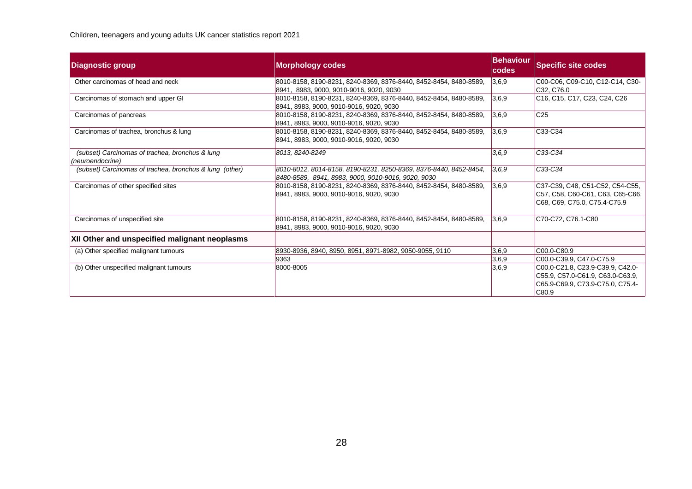| <b>Diagnostic group</b>                                             | <b>Morphology codes</b>                                                                                                 | <b>Behaviour</b><br><b>codes</b> | <b>Specific site codes</b>                                                                                        |
|---------------------------------------------------------------------|-------------------------------------------------------------------------------------------------------------------------|----------------------------------|-------------------------------------------------------------------------------------------------------------------|
| Other carcinomas of head and neck                                   | 8010-8158, 8190-8231, 8240-8369, 8376-8440, 8452-8454, 8480-8589,<br>8941, 8983, 9000, 9010-9016, 9020, 9030            | 3,6,9                            | C00-C06, C09-C10, C12-C14, C30-<br>C32, C76.0                                                                     |
| Carcinomas of stomach and upper GI                                  | 8010-8158, 8190-8231, 8240-8369, 8376-8440, 8452-8454, 8480-8589,<br>8941, 8983, 9000, 9010-9016, 9020, 9030            | 3,6,9                            | C <sub>16</sub> , C <sub>15</sub> , C <sub>17</sub> , C <sub>23</sub> , C <sub>24</sub> , C <sub>26</sub>         |
| Carcinomas of pancreas                                              | 8010-8158, 8190-8231, 8240-8369, 8376-8440, 8452-8454, 8480-8589,<br>8941, 8983, 9000, 9010-9016, 9020, 9030            | 3,6,9                            | C <sub>25</sub>                                                                                                   |
| Carcinomas of trachea, bronchus & lung                              | 8010-8158, 8190-8231, 8240-8369, 8376-8440, 8452-8454, 8480-8589,<br>8941, 8983, 9000, 9010-9016, 9020, 9030            | 3,6,9                            | C33-C34                                                                                                           |
| (subset) Carcinomas of trachea, bronchus & lung<br>(neuroendocrine) | 8013, 8240-8249                                                                                                         | 3,6.9                            | C33-C34                                                                                                           |
| (subset) Carcinomas of trachea, bronchus & lung (other)             | 8010-8012, 8014-8158, 8190-8231, 8250-8369, 8376-8440, 8452-8454,<br>8480-8589, 8941, 8983, 9000, 9010-9016, 9020, 9030 | 3,6.9                            | C33-C34                                                                                                           |
| Carcinomas of other specified sites                                 | 8010-8158, 8190-8231, 8240-8369, 8376-8440, 8452-8454, 8480-8589,<br>8941, 8983, 9000, 9010-9016, 9020, 9030            | 3,6,9                            | C37-C39, C48, C51-C52, C54-C55,<br>C57, C58, C60-C61, C63, C65-C66,<br>C68, C69, C75.0, C75.4-C75.9               |
| Carcinomas of unspecified site                                      | 8010-8158, 8190-8231, 8240-8369, 8376-8440, 8452-8454, 8480-8589,<br>8941, 8983, 9000, 9010-9016, 9020, 9030            | 3,6,9                            | C70-C72, C76.1-C80                                                                                                |
| XII Other and unspecified malignant neoplasms                       |                                                                                                                         |                                  |                                                                                                                   |
| (a) Other specified malignant tumours                               | 8930-8936, 8940, 8950, 8951, 8971-8982, 9050-9055, 9110                                                                 | 3,6,9                            | C00.0-C80.9                                                                                                       |
|                                                                     | 9363                                                                                                                    | 3,6,9                            | C00.0-C39.9, C47.0-C75.9                                                                                          |
| (b) Other unspecified malignant tumours                             | 8000-8005                                                                                                               | 3,6,9                            | C00.0-C21.8, C23.9-C39.9, C42.0-<br>C55.9, C57.0-C61.9, C63.0-C63.9,<br>C65.9-C69.9, C73.9-C75.0, C75.4-<br>C80.9 |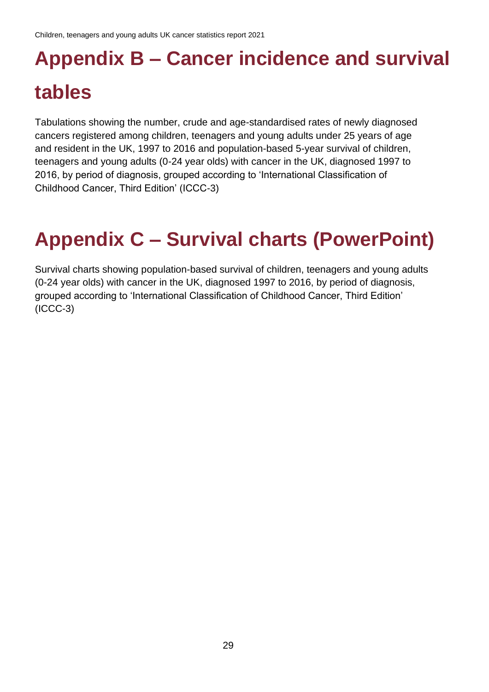# <span id="page-28-0"></span>**Appendix B – Cancer incidence and survival tables**

Tabulations showing the number, crude and age-standardised rates of newly diagnosed cancers registered among children, teenagers and young adults under 25 years of age and resident in the UK, 1997 to 2016 and population-based 5-year survival of children, teenagers and young adults (0-24 year olds) with cancer in the UK, diagnosed 1997 to 2016, by period of diagnosis, grouped according to 'International Classification of Childhood Cancer, Third Edition' (ICCC-3)

## <span id="page-28-1"></span>**Appendix C – Survival charts (PowerPoint)**

Survival charts showing population-based survival of children, teenagers and young adults (0-24 year olds) with cancer in the UK, diagnosed 1997 to 2016, by period of diagnosis, grouped according to 'International Classification of Childhood Cancer, Third Edition' (ICCC-3)